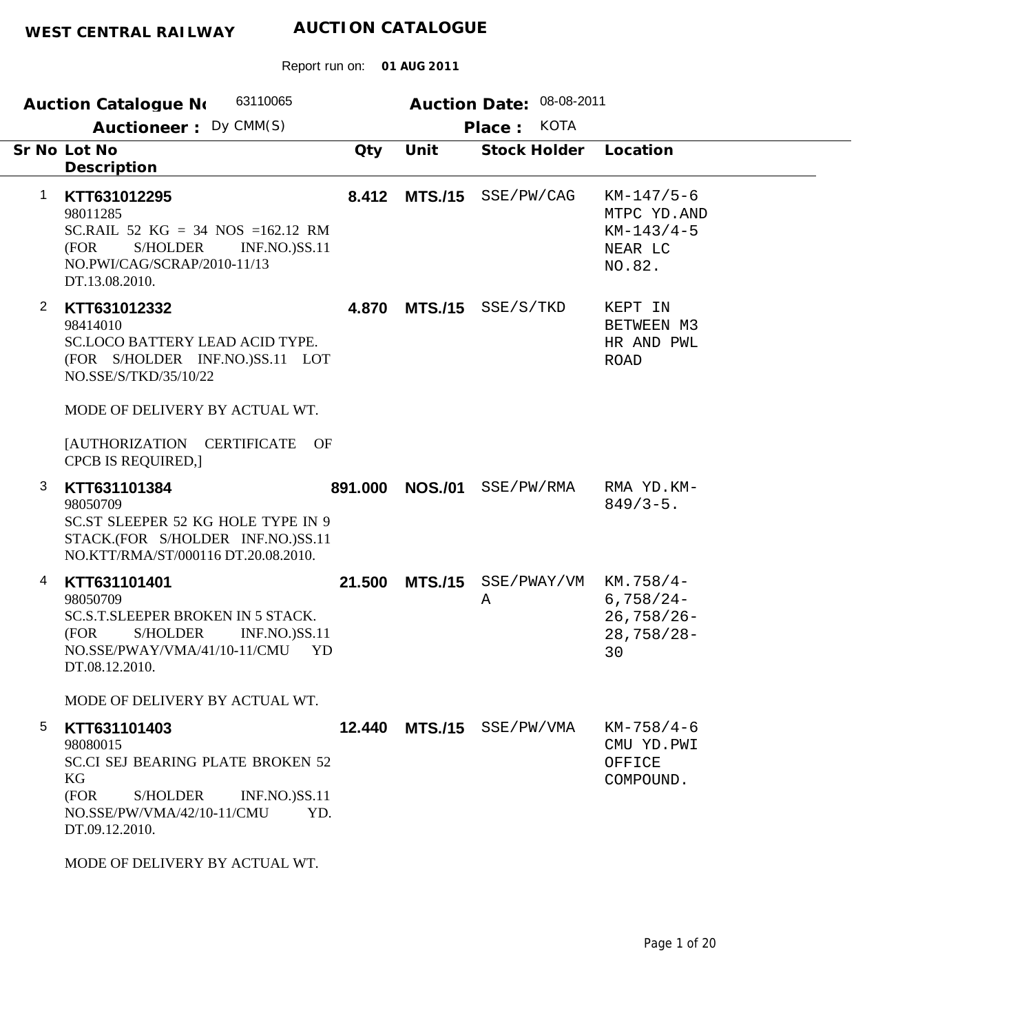Report run on: **01 AUG 2011**

|              | 63110065<br><b>Auction Catalogue No</b>                                                                                                                                                                                        |         |                | Auction Date: 08-08-2011  |                                                                   |
|--------------|--------------------------------------------------------------------------------------------------------------------------------------------------------------------------------------------------------------------------------|---------|----------------|---------------------------|-------------------------------------------------------------------|
|              | Auctioneer: Dy CMM(S)                                                                                                                                                                                                          |         |                | <b>KOTA</b><br>Place:     |                                                                   |
|              | Sr No Lot No<br>Description                                                                                                                                                                                                    | Qty     | Unit           | Stock Holder              | Location                                                          |
| 1            | KTT631012295<br>98011285<br>SC.RAIL 52 $KG = 34$ NOS =162.12 RM<br>(FOR<br><b>S/HOLDER</b><br><b>INF.NO.)SS.11</b><br>NO.PWI/CAG/SCRAP/2010-11/13<br>DT.13.08.2010.                                                            | 8.412   |                | MTS./15 SSE/PW/CAG        | $KM-147/5-6$<br>MTPC YD.AND<br>$KM-143/4-5$<br>NEAR LC<br>NO.82.  |
| $\mathbf{2}$ | KTT631012332<br>98414010<br><b>SC.LOCO BATTERY LEAD ACID TYPE.</b><br>(FOR S/HOLDER INF.NO.)SS.11 LOT<br>NO.SSE/S/TKD/35/10/22<br>MODE OF DELIVERY BY ACTUAL WT.<br>[AUTHORIZATION CERTIFICATE OF<br><b>CPCB IS REQUIRED,]</b> | 4.870   |                | MTS./15 SSE/S/TKD         | KEPT IN<br>BETWEEN M3<br>HR AND PWL<br><b>ROAD</b>                |
| 3            | KTT631101384<br>98050709<br>SC.ST SLEEPER 52 KG HOLE TYPE IN 9<br>STACK.(FOR S/HOLDER INF.NO.)SS.11<br>NO.KTT/RMA/ST/000116 DT.20.08.2010.                                                                                     | 891.000 | <b>NOS./01</b> | SSE/PW/RMA                | RMA YD.KM-<br>$849/3 - 5$ .                                       |
| 4            | KTT631101401<br>98050709<br><b>SC.S.T.SLEEPER BROKEN IN 5 STACK.</b><br><b>S/HOLDER</b><br><b>INF.NO.)SS.11</b><br>(FOR<br>NO.SSE/PWAY/VMA/41/10-11/CMU<br>YD<br>DT.08.12.2010.                                                | 21.500  | <b>MTS./15</b> | SSE/PWAY/VM<br>Α          | $KM.758/4-$<br>$6,758/24-$<br>$26,758/26 -$<br>$28,758/28-$<br>30 |
|              | MODE OF DELIVERY BY ACTUAL WT.                                                                                                                                                                                                 |         |                |                           |                                                                   |
| 5            | KTT631101403<br>98080015<br><b>SC.CI SEJ BEARING PLATE BROKEN 52</b><br>KG<br>(FOR<br>S/HOLDER<br><b>INF.NO.)SS.11</b><br>NO.SSE/PW/VMA/42/10-11/CMU<br>YD.<br>DT.09.12.2010.                                                  |         |                | 12.440 MTS./15 SSE/PW/VMA | $KM-758/4-6$<br>CMU YD.PWI<br>OFFICE<br>COMPOUND.                 |
|              | MODE OF DELIVEDV BV ACTIJAL WT                                                                                                                                                                                                 |         |                |                           |                                                                   |

MODE OF DELIVERY BY ACTUAL WT.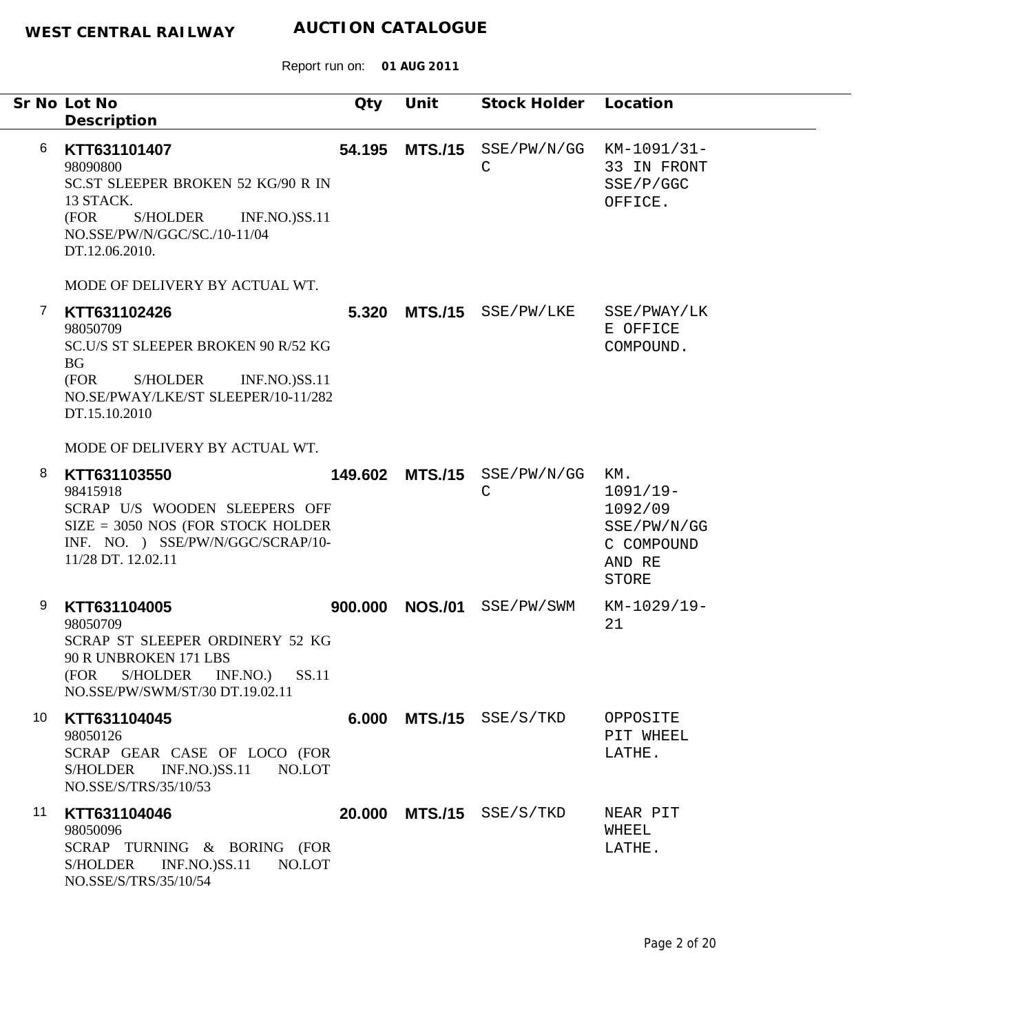|    | Sr No Lot No<br>Description                                                                                                                                                      | Qty     | Unit            | Stock Holder Location                       |                                                                                     |
|----|----------------------------------------------------------------------------------------------------------------------------------------------------------------------------------|---------|-----------------|---------------------------------------------|-------------------------------------------------------------------------------------|
| 6  | KTT631101407<br>98090800<br><b>SC.ST SLEEPER BROKEN 52 KG/90 R IN</b><br>13 STACK.<br>S/HOLDER<br>(FOR<br><b>INF.NO.)SS.11</b><br>NO.SSE/PW/N/GGC/SC./10-11/04<br>DT.12.06.2010. | 54.195  | <b>MTS./15</b>  | $SSE/PW/N/GG$ $KM-1091/31-$<br>$\mathsf{C}$ | 33 IN FRONT<br>SSE/P/GGC<br>OFFICE.                                                 |
|    | MODE OF DELIVERY BY ACTUAL WT.                                                                                                                                                   |         |                 |                                             |                                                                                     |
| 7  | KTT631102426<br>98050709<br>SC.U/S ST SLEEPER BROKEN 90 R/52 KG<br><b>BG</b><br>(FOR<br>S/HOLDER<br><b>INF.NO.)SS.11</b><br>NO.SE/PWAY/LKE/ST SLEEPER/10-11/282<br>DT.15.10.2010 |         |                 | 5.320 MTS./15 SSE/PW/LKE                    | SSE/PWAY/LK<br>E OFFICE<br>COMPOUND.                                                |
|    | MODE OF DELIVERY BY ACTUAL WT.                                                                                                                                                   |         |                 |                                             |                                                                                     |
| 8  | KTT631103550<br>98415918<br>SCRAP U/S WOODEN SLEEPERS OFF<br>$SIZE = 3050 NOS (FOR STOCK HOLDER)$<br>INF. NO. ) SSE/PW/N/GGC/SCRAP/10-<br>11/28 DT. 12.02.11                     |         | 149.602 MTS./15 | SSE/PW/N/GG<br>C                            | KM.<br>$1091/19-$<br>1092/09<br>SSE/PW/N/GG<br>C COMPOUND<br>AND RE<br><b>STORE</b> |
| 9  | KTT631104005<br>98050709<br>SCRAP ST SLEEPER ORDINERY 52 KG<br>90 R UNBROKEN 171 LBS<br>(FOR S/HOLDER INF.NO.) SS.11<br>NO.SSE/PW/SWM/ST/30 DT.19.02.11                          | 900.000 | <b>NOS./01</b>  | SSE/PW/SWM                                  | KM-1029/19-<br>21                                                                   |
| 10 | KTT631104045<br>98050126<br>SCRAP GEAR CASE OF LOCO (FOR<br><b>S/HOLDER</b><br><b>INF.NO.)SS.11</b><br>NO.LOT<br>NO.SSE/S/TRS/35/10/53                                           |         |                 | 6.000 MTS./15 SSE/S/TKD                     | OPPOSITE<br>PIT WHEEL<br>LATHE.                                                     |
| 11 | KTT631104046<br>98050096<br>SCRAP TURNING & BORING (FOR<br><b>INF.NO.)SS.11</b><br>S/HOLDER<br>NO.LOT<br>NO.SSE/S/TRS/35/10/54                                                   |         |                 | 20.000 MTS./15 SSE/S/TKD                    | NEAR PIT<br>WHEEL<br>LATHE.                                                         |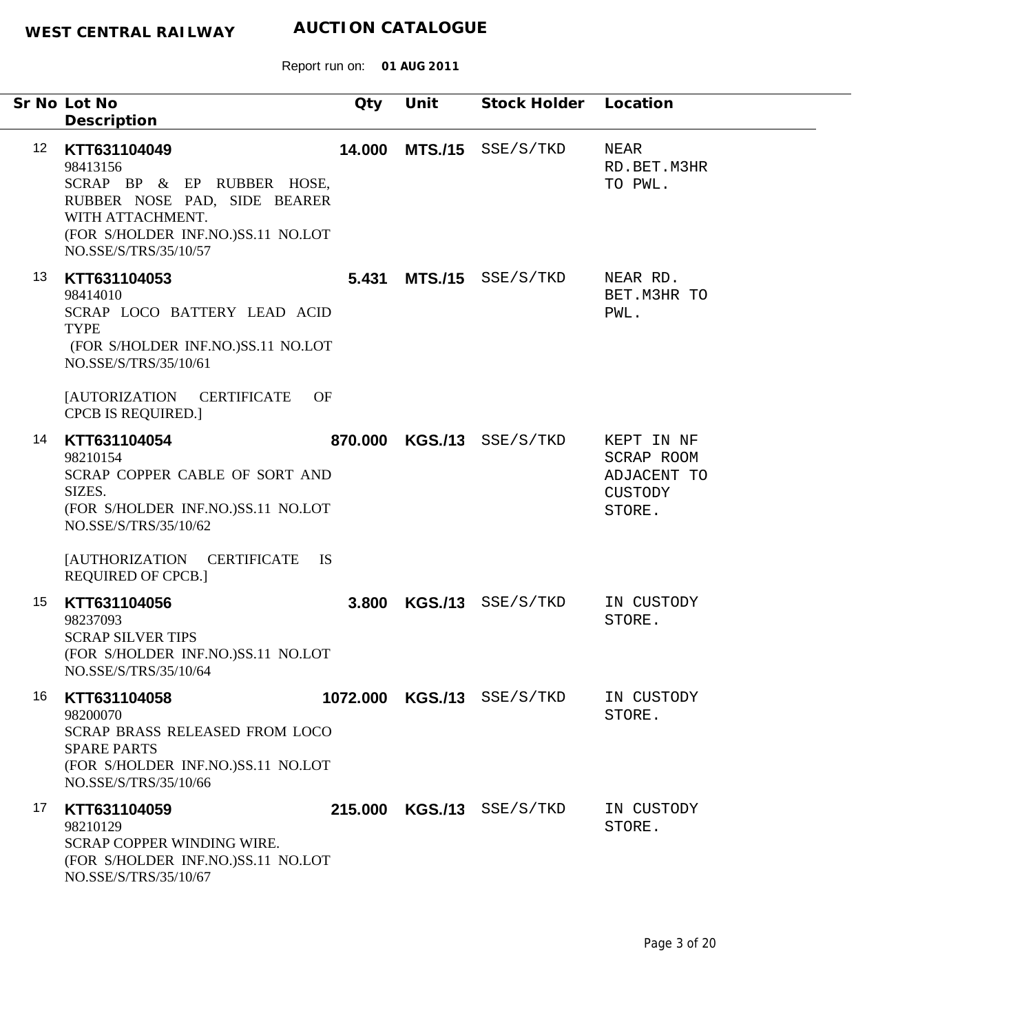|    | Sr No Lot No<br>Description                                                                                                                                                                       | Qty    | Unit           | Stock Holder Location      |                                                              |
|----|---------------------------------------------------------------------------------------------------------------------------------------------------------------------------------------------------|--------|----------------|----------------------------|--------------------------------------------------------------|
| 12 | KTT631104049<br>98413156<br>SCRAP BP & EP RUBBER HOSE,<br>RUBBER NOSE PAD, SIDE BEARER<br>WITH ATTACHMENT.<br>(FOR S/HOLDER INF.NO.)SS.11 NO.LOT<br>NO.SSE/S/TRS/35/10/57                         | 14.000 | <b>MTS./15</b> | SSE/S/TKD                  | NEAR<br>RD.BET.M3HR<br>TO PWL.                               |
| 13 | KTT631104053<br>98414010<br>SCRAP LOCO BATTERY LEAD ACID<br><b>TYPE</b><br>(FOR S/HOLDER INF.NO.)SS.11 NO.LOT<br>NO.SSE/S/TRS/35/10/61<br><b>[AUTORIZATION</b><br><b>CERTIFICATE</b><br><b>OF</b> | 5.431  |                | MTS./15 SSE/S/TKD          | NEAR RD.<br>BET. M3HR TO<br>PWL.                             |
| 14 | <b>CPCB IS REQUIRED.]</b><br>KTT631104054<br>98210154<br>SCRAP COPPER CABLE OF SORT AND<br>SIZES.<br>(FOR S/HOLDER INF.NO.)SS.11 NO.LOT<br>NO.SSE/S/TRS/35/10/62                                  |        |                | 870.000 KGS./13 SSE/S/TKD  | KEPT IN NF<br>SCRAP ROOM<br>ADJACENT TO<br>CUSTODY<br>STORE. |
|    | <b>JAUTHORIZATION</b><br><b>CERTIFICATE</b><br><b>IS</b><br><b>REQUIRED OF CPCB.]</b>                                                                                                             |        |                |                            |                                                              |
| 15 | KTT631104056<br>98237093<br><b>SCRAP SILVER TIPS</b><br>(FOR S/HOLDER INF.NO.)SS.11 NO.LOT<br>NO.SSE/S/TRS/35/10/64                                                                               | 3.800  |                | $KGS./13$ SSE/S/TKD        | IN CUSTODY<br>STORE.                                         |
| 16 | KTT631104058<br>98200070<br>SCRAP BRASS RELEASED FROM LOCO<br><b>SPARE PARTS</b><br>(FOR S/HOLDER INF.NO.)SS.11 NO.LOT<br>NO.SSE/S/TRS/35/10/66                                                   |        |                | 1072.000 KGS./13 SSE/S/TKD | IN CUSTODY<br>STORE.                                         |
| 17 | KTT631104059<br>98210129<br><b>SCRAP COPPER WINDING WIRE.</b><br>(FOR S/HOLDER INF.NO.)SS.11 NO.LOT<br>NO.SSE/S/TRS/35/10/67                                                                      |        |                | 215.000 KGS./13 SSE/S/TKD  | IN CUSTODY<br>STORE.                                         |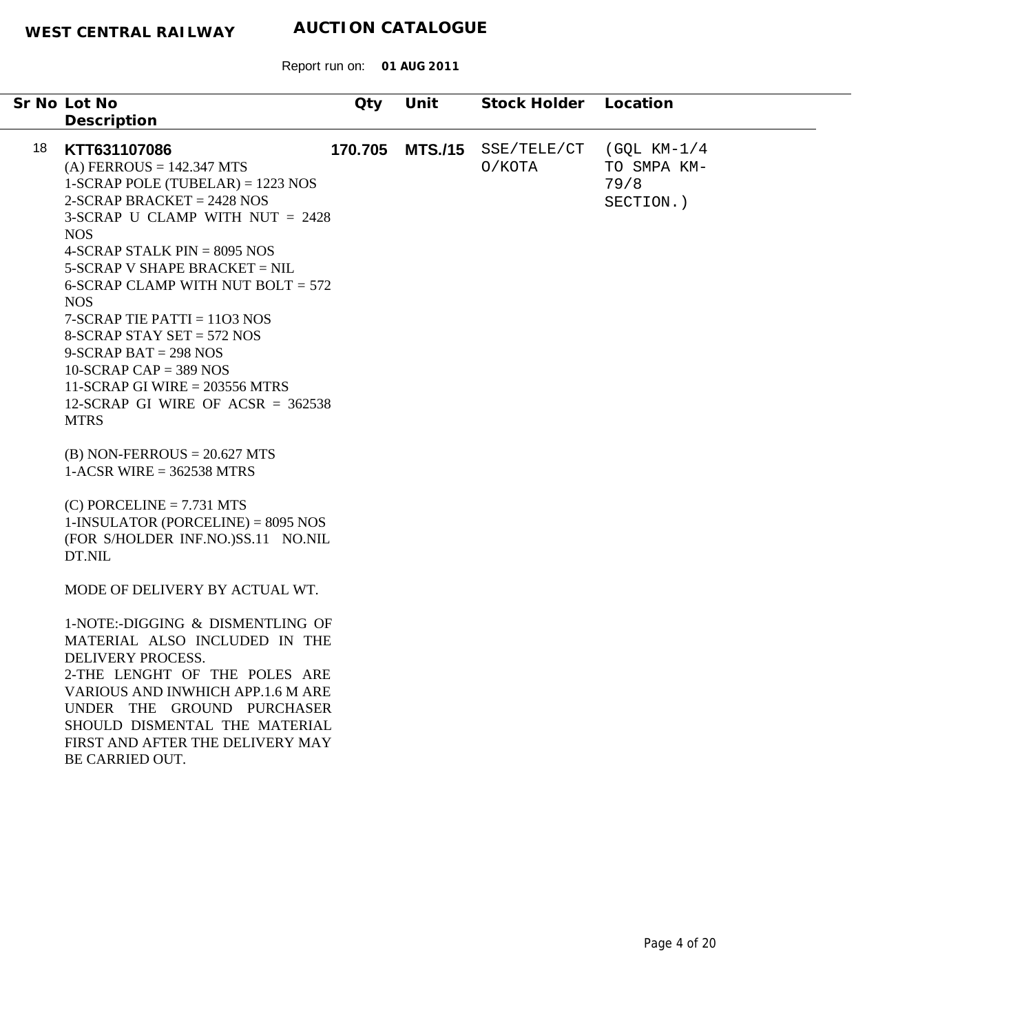| 18<br>KTT631107086<br>170.705<br><b>MTS./15</b><br>SSE/TELE/CT<br>(GQL KM-1/4<br>$(A)$ FERROUS = 142.347 MTS<br>O/KOTA<br>TO SMPA KM-<br>$1-SCRAP$ POLE (TUBELAR) = 1223 NOS<br>79/8<br>$2-SCRAP$ BRACKET = 2428 NOS<br>SECTION.)<br>3-SCRAP U CLAMP WITH NUT $= 2428$<br><b>NOS</b><br>4-SCRAP STALK $PIN = 8095 NOS$<br>5-SCRAP V SHAPE BRACKET = NIL<br>6-SCRAP CLAMP WITH NUT BOLT $= 572$<br><b>NOS</b><br>$7-SCRAP$ TIE PATTI = 1103 NOS                                                      | Unit<br>Stock Holder<br>Location | Qty | Sr No Lot No                                |  |
|-----------------------------------------------------------------------------------------------------------------------------------------------------------------------------------------------------------------------------------------------------------------------------------------------------------------------------------------------------------------------------------------------------------------------------------------------------------------------------------------------------|----------------------------------|-----|---------------------------------------------|--|
|                                                                                                                                                                                                                                                                                                                                                                                                                                                                                                     |                                  |     |                                             |  |
| $9-SCRAP BAT = 298 NOS$<br>$10-SCRAP CAP = 389 NOS$<br>11-SCRAP GI WIRE = $203556$ MTRS<br>12-SCRAP GI WIRE OF ACSR = $362538$<br><b>MTRS</b><br>$(B)$ NON-FERROUS = 20.627 MTS<br>$1-ACSR$ WIRE = 362538 MTRS<br>$(C)$ PORCELINE = 7.731 MTS<br>$1$ -INSULATOR (PORCELINE) = 8095 NOS<br>(FOR S/HOLDER INF.NO.)SS.11 NO.NIL<br>DT.NIL<br>MODE OF DELIVERY BY ACTUAL WT.<br>1-NOTE:-DIGGING & DISMENTLING OF<br>MATERIAL ALSO INCLUDED IN THE<br>DELIVERY PROCESS.<br>2-THE LENGHT OF THE POLES ARE |                                  |     | Description<br>8-SCRAP STAY SET = $572$ NOS |  |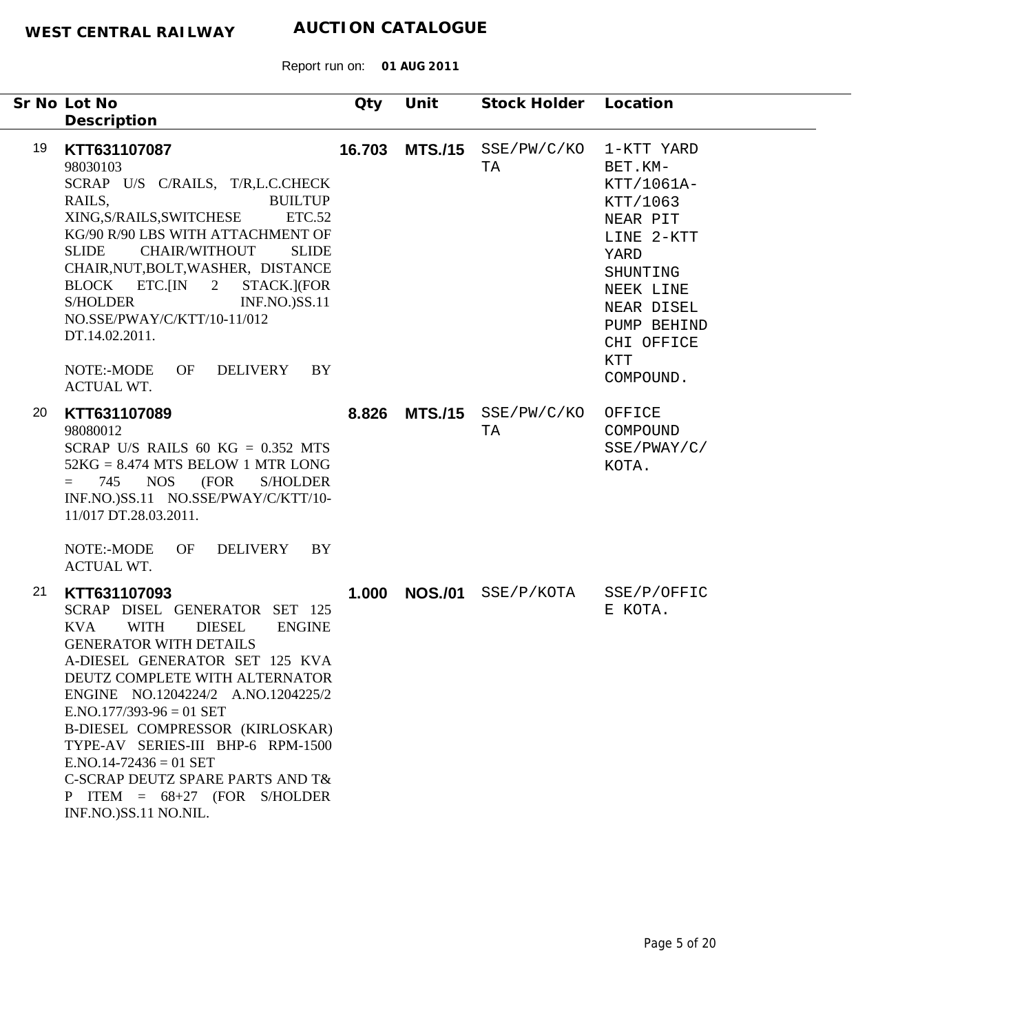|    | Sr No Lot No<br>Description                                                                                                                                                                                                                                                                                                                                                                                                                                                            | Qty   | Unit           | Stock Holder Location         |                                                                                                                                                                                  |
|----|----------------------------------------------------------------------------------------------------------------------------------------------------------------------------------------------------------------------------------------------------------------------------------------------------------------------------------------------------------------------------------------------------------------------------------------------------------------------------------------|-------|----------------|-------------------------------|----------------------------------------------------------------------------------------------------------------------------------------------------------------------------------|
| 19 | KTT631107087<br>98030103<br>SCRAP U/S C/RAILS, T/R,L.C.CHECK<br>RAILS,<br><b>BUILTUP</b><br>XING, S/RAILS, SWITCHESE<br><b>ETC.52</b><br>KG/90 R/90 LBS WITH ATTACHMENT OF<br><b>SLIDE</b><br><b>CHAIR/WITHOUT</b><br><b>SLIDE</b><br>CHAIR, NUT, BOLT, WASHER, DISTANCE<br>BLOCK ETC.[IN 2<br>STACK.](FOR<br><b>S/HOLDER</b><br><b>INF.NO.)SS.11</b><br>NO.SSE/PWAY/C/KTT/10-11/012<br>DT.14.02.2011.<br>NOTE:-MODE<br>OF<br>DELIVERY<br>BY<br><b>ACTUAL WT.</b>                      |       | 16.703 MTS./15 | SSE/PW/C/KO<br>TA             | 1-KTT YARD<br>BET.KM-<br>KTT/1061A-<br>KTT/1063<br>NEAR PIT<br>LINE 2-KTT<br>YARD<br>SHUNTING<br>NEEK LINE<br>NEAR DISEL<br>PUMP BEHIND<br>CHI OFFICE<br><b>KTT</b><br>COMPOUND. |
| 20 | KTT631107089<br>98080012<br>SCRAP U/S RAILS 60 KG = $0.352$ MTS<br>$52KG = 8.474 MTS$ BELOW 1 MTR LONG<br><b>NOS</b><br>(FOR<br><b>S/HOLDER</b><br>745<br>$=$<br>INF.NO.)SS.11 NO.SSE/PWAY/C/KTT/10-<br>11/017 DT.28.03.2011.                                                                                                                                                                                                                                                          | 8.826 |                | $MTS./15$ $SSE/PW/C/KO$<br>TA | OFFICE<br>COMPOUND<br>SSE/PWAY/C/<br>KOTA.                                                                                                                                       |
|    | NOTE:-MODE<br>OF<br>DELIVERY<br>BY<br><b>ACTUAL WT.</b>                                                                                                                                                                                                                                                                                                                                                                                                                                |       |                |                               |                                                                                                                                                                                  |
| 21 | KTT631107093<br>SCRAP DISEL GENERATOR SET 125<br><b>KVA</b><br><b>WITH</b><br><b>DIESEL</b><br><b>ENGINE</b><br><b>GENERATOR WITH DETAILS</b><br>A-DIESEL GENERATOR SET 125 KVA<br>DEUTZ COMPLETE WITH ALTERNATOR<br>ENGINE NO.1204224/2 A.NO.1204225/2<br>$ENO.177/393-96 = 01 SET$<br>B-DIESEL COMPRESSOR (KIRLOSKAR)<br>TYPE-AV SERIES-III BHP-6 RPM-1500<br>$ENO.14-72436 = 01 SET$<br>C-SCRAP DEUTZ SPARE PARTS AND T&<br>P ITEM = $68+27$ (FOR S/HOLDER<br>INF.NO.)SS.11 NO.NIL. |       | 1.000 NOS./01  | SSE/P/KOTA                    | SSE/P/OFFIC<br>E KOTA.                                                                                                                                                           |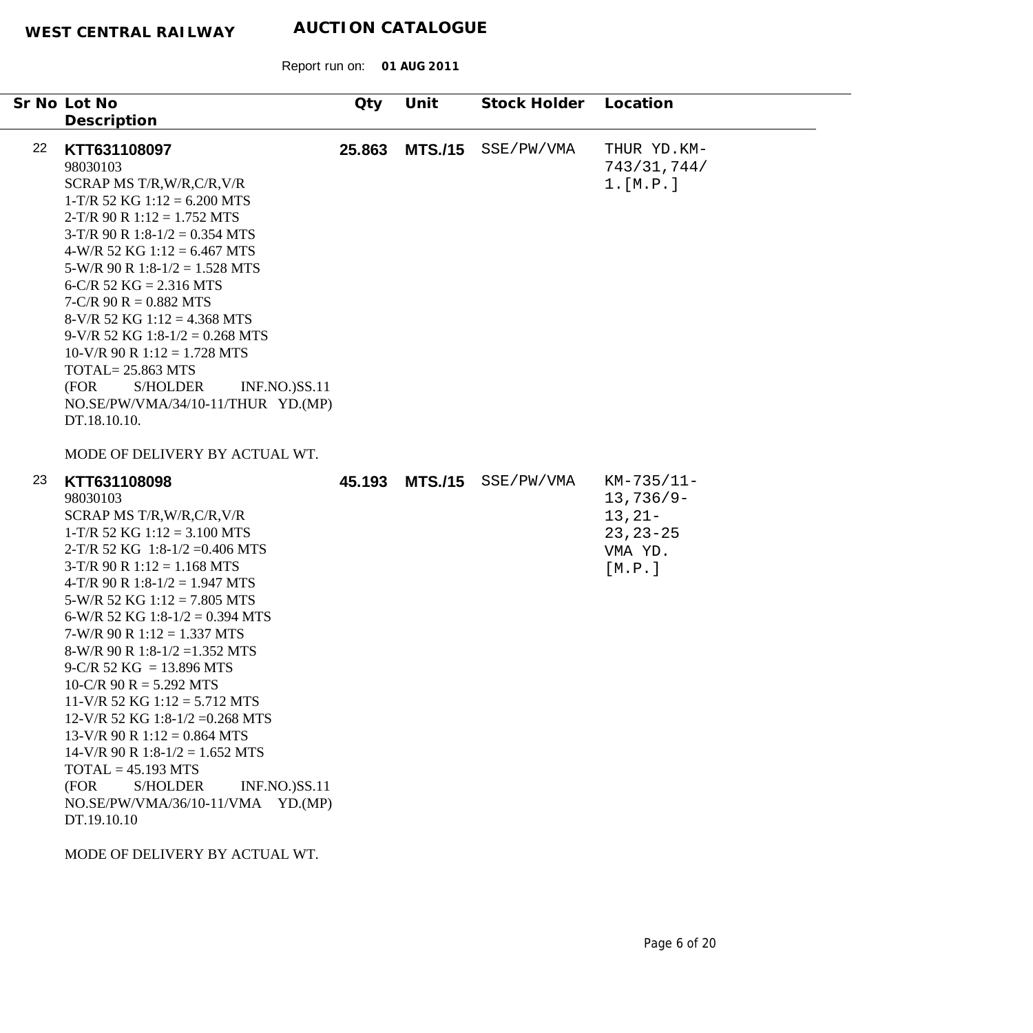Report run on: **01 AUG 2011**

|    | Sr No Lot No<br>Description                                                                                                                                                                                                                                                                                                                                                                                                                                                                                                                                                                                                                                                                   | Qty    | Unit           | Stock Holder | Location                                                                      |
|----|-----------------------------------------------------------------------------------------------------------------------------------------------------------------------------------------------------------------------------------------------------------------------------------------------------------------------------------------------------------------------------------------------------------------------------------------------------------------------------------------------------------------------------------------------------------------------------------------------------------------------------------------------------------------------------------------------|--------|----------------|--------------|-------------------------------------------------------------------------------|
| 22 | KTT631108097<br>98030103<br>SCRAP MS T/R, W/R, C/R, V/R<br>$1-T/R$ 52 KG $1:12 = 6.200$ MTS<br>$2-T/R$ 90 R $1:12 = 1.752$ MTS<br>$3-T/R$ 90 R $1:8-1/2 = 0.354$ MTS<br>$4-W/R$ 52 KG 1:12 = 6.467 MTS<br>$5-W/R$ 90 R 1:8-1/2 = 1.528 MTS<br>6-C/R 52 KG = $2.316$ MTS<br>$7-C/R$ 90 R = 0.882 MTS<br>$8-V/R$ 52 KG 1:12 = 4.368 MTS<br>$9-V/R$ 52 KG 1:8-1/2 = 0.268 MTS<br>$10-V/R$ 90 R $1:12 = 1.728$ MTS<br><b>TOTAL= 25.863 MTS</b><br>(FOR<br><b>S/HOLDER</b><br><b>INF.NO.)SS.11</b><br>NO.SE/PW/VMA/34/10-11/THUR YD.(MP)<br>DT.18.10.10.                                                                                                                                           | 25.863 | <b>MTS./15</b> | SSE/PW/VMA   | THUR YD.KM-<br>743/31,744/<br>1.[M.P.]                                        |
|    | MODE OF DELIVERY BY ACTUAL WT.                                                                                                                                                                                                                                                                                                                                                                                                                                                                                                                                                                                                                                                                |        |                |              |                                                                               |
| 23 | KTT631108098<br>98030103<br>SCRAP MS T/R, W/R, C/R, V/R<br>$1-T/R$ 52 KG $1:12 = 3.100$ MTS<br>2-T/R 52 KG 1:8-1/2 = 0.406 MTS<br>$3-T/R$ 90 R $1:12 = 1.168$ MTS<br>4-T/R 90 R 1:8-1/2 = 1.947 MTS<br>$5-W/R$ 52 KG $1:12 = 7.805$ MTS<br>6-W/R 52 KG 1:8-1/2 = 0.394 MTS<br>$7-W/R$ 90 R $1:12 = 1.337$ MTS<br>8-W/R 90 R 1:8-1/2 = 1.352 MTS<br>$9-C/R$ 52 KG = 13.896 MTS<br>$10-C/R$ 90 R = 5.292 MTS<br>$11-V/R$ 52 KG $1:12 = 5.712$ MTS<br>12-V/R 52 KG 1:8-1/2 = 0.268 MTS<br>$13-V/R$ 90 R $1:12 = 0.864$ MTS<br>$14-V/R$ 90 R $1:8-1/2 = 1.652$ MTS<br>$TOTAL = 45.193 MTS$<br>(FOR<br><b>S/HOLDER</b><br><b>INF.NO.)SS.11</b><br>NO.SE/PW/VMA/36/10-11/VMA YD.(MP)<br>DT.19.10.10 | 45.193 | <b>MTS./15</b> | SSE/PW/VMA   | KM-735/11-<br>$13,736/9-$<br>$13, 21 -$<br>$23, 23 - 25$<br>VMA YD.<br>[M.P.] |
|    |                                                                                                                                                                                                                                                                                                                                                                                                                                                                                                                                                                                                                                                                                               |        |                |              |                                                                               |

MODE OF DELIVERY BY ACTUAL WT.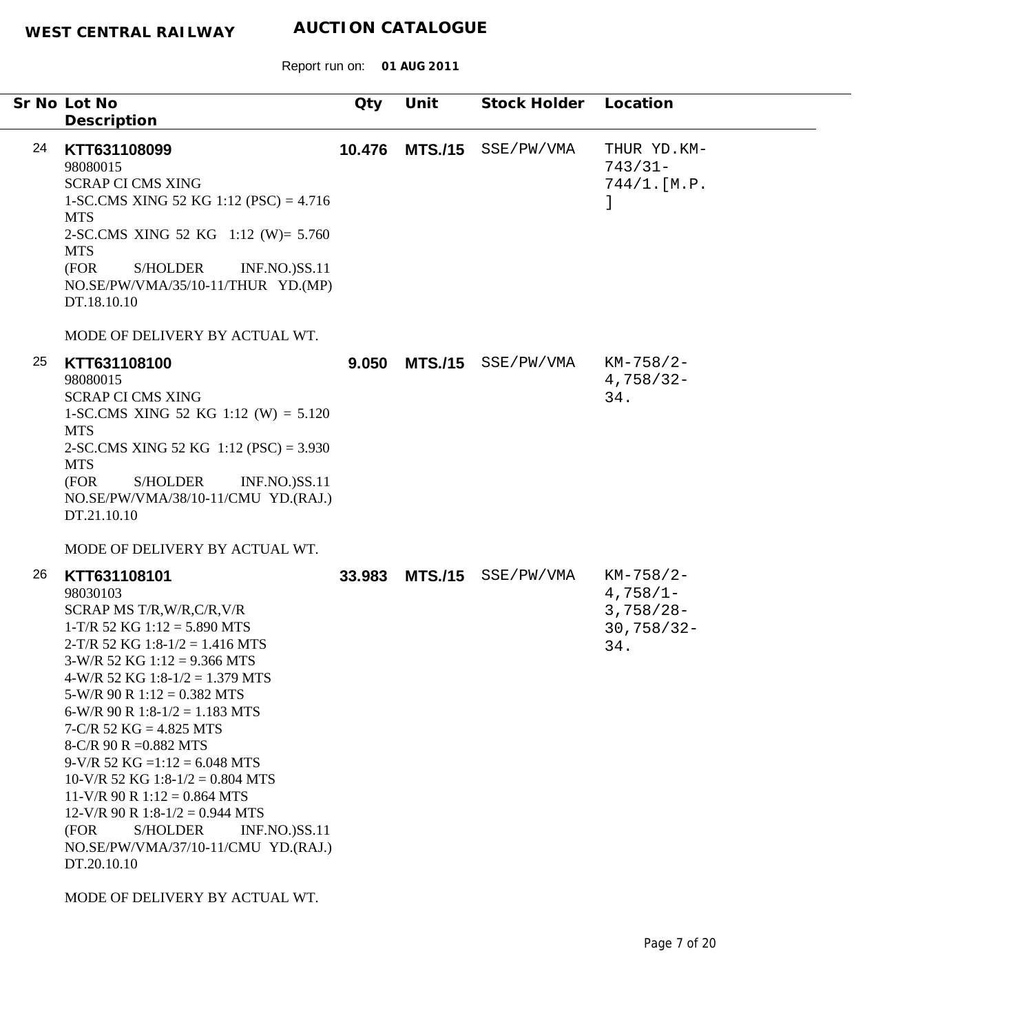|    | Sr No Lot No                                                                                                                                                                                                                                                                                                                                                                                                                                                                                                                                                                                                                                                    | Qty    | Unit           | Stock Holder | Location                                                         |
|----|-----------------------------------------------------------------------------------------------------------------------------------------------------------------------------------------------------------------------------------------------------------------------------------------------------------------------------------------------------------------------------------------------------------------------------------------------------------------------------------------------------------------------------------------------------------------------------------------------------------------------------------------------------------------|--------|----------------|--------------|------------------------------------------------------------------|
|    | Description                                                                                                                                                                                                                                                                                                                                                                                                                                                                                                                                                                                                                                                     |        |                |              |                                                                  |
| 24 | KTT631108099<br>98080015<br><b>SCRAP CI CMS XING</b><br>1-SC.CMS XING 52 KG 1:12 (PSC) = $4.716$<br><b>MTS</b><br>2-SC.CMS XING 52 KG 1:12 (W)= 5.760<br><b>MTS</b><br>(FOR<br><b>S/HOLDER</b><br><b>INF.NO.)SS.11</b><br>NO.SE/PW/VMA/35/10-11/THUR YD.(MP)<br>DT.18.10.10<br>MODE OF DELIVERY BY ACTUAL WT.                                                                                                                                                                                                                                                                                                                                                   | 10.476 | <b>MTS./15</b> | SSE/PW/VMA   | THUR YD.KM-<br>$743/31-$<br>744/1.[M.P.                          |
| 25 | KTT631108100<br>98080015<br><b>SCRAP CI CMS XING</b><br>1-SC.CMS XING 52 KG 1:12 (W) = $5.120$<br><b>MTS</b><br>2-SC.CMS XING 52 KG $1:12$ (PSC) = 3.930<br><b>MTS</b><br><b>S/HOLDER</b><br>(FOR<br><b>INF.NO.)SS.11</b><br>NO.SE/PW/VMA/38/10-11/CMU YD.(RAJ.)<br>DT.21.10.10                                                                                                                                                                                                                                                                                                                                                                                 | 9.050  | <b>MTS./15</b> | SSE/PW/VMA   | $KM-758/2-$<br>$4,758/32-$<br>34.                                |
| 26 | MODE OF DELIVERY BY ACTUAL WT.<br>KTT631108101<br>98030103<br>SCRAP MS T/R, W/R, C/R, V/R<br>$1-T/R$ 52 KG $1:12 = 5.890$ MTS<br>$2-T/R$ 52 KG 1:8-1/2 = 1.416 MTS<br>$3-W/R$ 52 KG $1:12 = 9.366$ MTS<br>4-W/R 52 KG 1:8-1/2 = 1.379 MTS<br>$5-W/R$ 90 R $1:12 = 0.382$ MTS<br>6-W/R 90 R 1:8-1/2 = 1.183 MTS<br>$7-C/R$ 52 KG = 4.825 MTS<br>8-C/R 90 R = $0.882$ MTS<br>$9-V/R$ 52 KG =1:12 = 6.048 MTS<br>$10-V/R$ 52 KG 1:8-1/2 = 0.804 MTS<br>$11-V/R$ 90 R $1:12 = 0.864$ MTS<br>$12-V/R$ 90 R $1:8-1/2 = 0.944$ MTS<br>(FOR<br>S/HOLDER<br><b>INF.NO.)SS.11</b><br>NO.SE/PW/VMA/37/10-11/CMU YD.(RAJ.)<br>DT.20.10.10<br>MODE OF DELIVERY BY ACTUAL WT. | 33.983 | <b>MTS./15</b> | SSE/PW/VMA   | $KM-758/2-$<br>$4,758/1-$<br>$3,758/28-$<br>$30,758/32 -$<br>34. |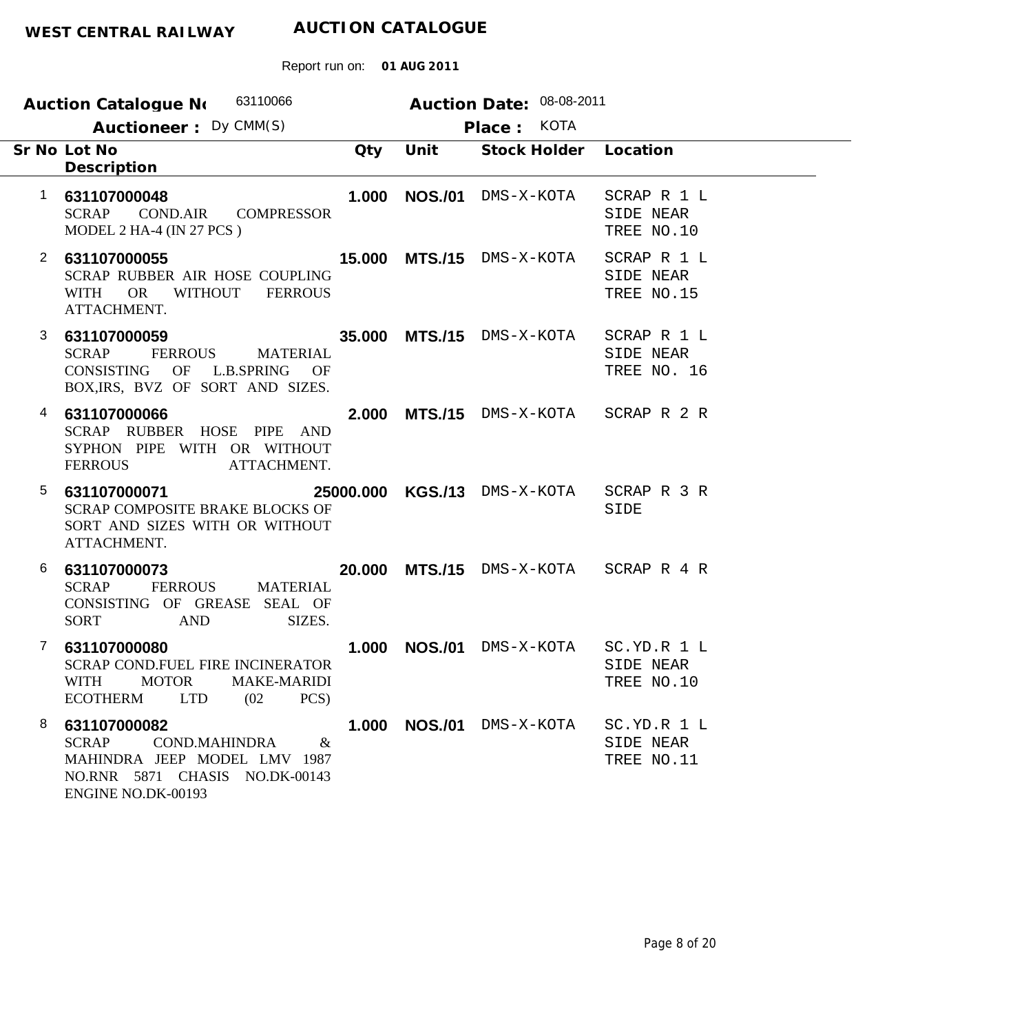| 63110066<br><b>Auction Catalogue No</b>                                                                                                                              | Auction Date: 08-08-2011     |                                         |
|----------------------------------------------------------------------------------------------------------------------------------------------------------------------|------------------------------|-----------------------------------------|
| Auctioneer: Dy CMM(S)                                                                                                                                                | Place: KOTA                  |                                         |
| Sr No Lot No<br>Qty<br>Description                                                                                                                                   | Stock Holder<br>Unit         | Location                                |
| $\mathbf 1$<br>631107000048<br>1.000<br><b>SCRAP</b><br><b>COND.AIR</b><br><b>COMPRESSOR</b><br>MODEL 2 HA-4 (IN 27 PCS)                                             | <b>NOS./01</b><br>DMS-X-KOTA | SCRAP R 1 L<br>SIDE NEAR<br>TREE NO.10  |
| $\mathbf{2}$<br>631107000055<br>SCRAP RUBBER AIR HOSE COUPLING<br><b>WITHOUT</b><br><b>OR</b><br><b>FERROUS</b><br>WITH<br>ATTACHMENT.                               | 15.000 MTS./15 DMS-X-KOTA    | SCRAP R 1 L<br>SIDE NEAR<br>TREE NO.15  |
| 3<br>631107000059<br>35.000<br><b>FERROUS</b><br><b>SCRAP</b><br><b>MATERIAL</b><br>CONSISTING OF L.B.SPRING OF<br>BOX, IRS, BVZ OF SORT AND SIZES.                  | MTS./15 DMS-X-KOTA           | SCRAP R 1 L<br>SIDE NEAR<br>TREE NO. 16 |
| 631107000066<br>4<br>2.000<br>SCRAP RUBBER HOSE PIPE AND<br>SYPHON PIPE WITH OR WITHOUT<br><b>FERROUS</b><br>ATTACHMENT.                                             | <b>MTS./15</b> DMS-X-KOTA    | SCRAP R 2 R                             |
| 5<br>631107000071<br>SCRAP COMPOSITE BRAKE BLOCKS OF<br>SORT AND SIZES WITH OR WITHOUT<br>ATTACHMENT.                                                                | 25000.000 KGS./13 DMS-X-KOTA | SCRAP R 3 R<br>SIDE                     |
| 6<br>631107000073<br>20.000<br><b>SCRAP</b><br><b>FERROUS</b><br><b>MATERIAL</b><br>CONSISTING OF GREASE SEAL OF<br><b>AND</b><br>SIZES.<br><b>SORT</b>              | <b>MTS./15</b> dms-x-kota    | SCRAP R 4 R                             |
| 7<br>631107000080<br>1.000<br><b>SCRAP COND.FUEL FIRE INCINERATOR</b><br><b>WITH</b><br><b>MOTOR</b><br>MAKE-MARIDI<br><b>ECOTHERM</b><br><b>LTD</b><br>PCS)<br>(02) | <b>NOS./01</b><br>DMS-X-KOTA | SC.YD.R 1 L<br>SIDE NEAR<br>TREE NO.10  |
| 8<br>631107000082<br>1.000<br>SCRAP<br><b>COND.MAHINDRA</b><br>&<br>MAHINDRA JEEP MODEL LMV 1987<br>NO.RNR 5871 CHASIS NO.DK-00143<br>ENGINE NO.DK-00193             | NOS./01 DMS-X-KOTA           | SC.YD.R 1 L<br>SIDE NEAR<br>TREE NO.11  |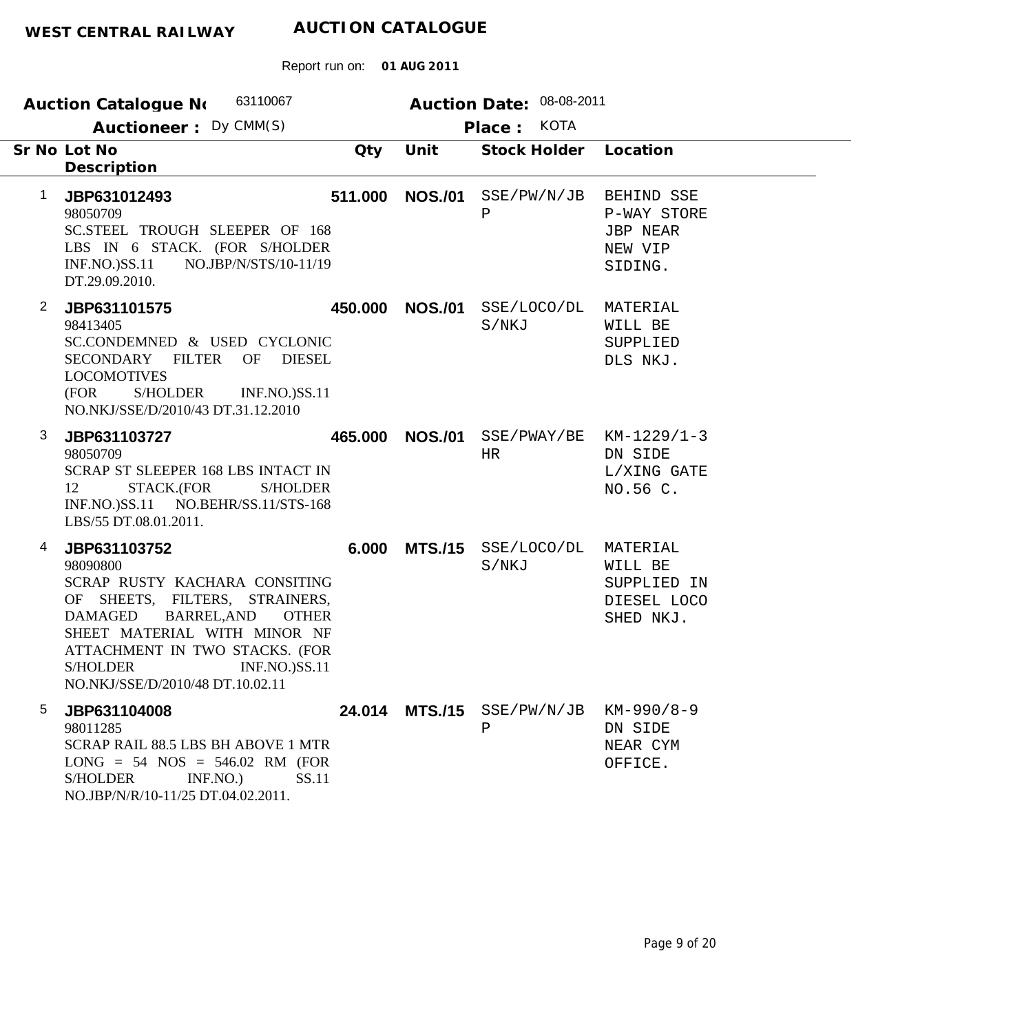| 63110067<br><b>Auction Catalogue No</b>                                                                                                                                                                                                                                                                            |                | Auction Date: 08-08-2011    |                                                                    |
|--------------------------------------------------------------------------------------------------------------------------------------------------------------------------------------------------------------------------------------------------------------------------------------------------------------------|----------------|-----------------------------|--------------------------------------------------------------------|
| Auctioneer: Dy CMM(S)                                                                                                                                                                                                                                                                                              |                | <b>KOTA</b><br>Place:       |                                                                    |
| Sr No Lot No<br>Qty<br>Description                                                                                                                                                                                                                                                                                 | Unit           | Stock Holder                | Location                                                           |
| $\mathbf{1}$<br>511.000<br>JBP631012493<br>98050709<br>SC.STEEL TROUGH SLEEPER OF 168<br>LBS IN 6 STACK. (FOR S/HOLDER<br><b>INF.NO.)SS.11</b><br>NO.JBP/N/STS/10-11/19<br>DT.29.09.2010.                                                                                                                          | <b>NOS./01</b> | SSE/PW/N/JB<br>$\, {\bf P}$ | BEHIND SSE<br>P-WAY STORE<br><b>JBP NEAR</b><br>NEW VIP<br>SIDING. |
| $\overline{2}$<br>JBP631101575<br>450.000<br>98413405<br>SC.CONDEMNED & USED CYCLONIC<br>SECONDARY FILTER<br>OF<br><b>DIESEL</b><br><b>LOCOMOTIVES</b><br>(FOR<br><b>S/HOLDER</b><br><b>INF.NO.)SS.11</b><br>NO.NKJ/SSE/D/2010/43 DT.31.12.2010                                                                    | <b>NOS./01</b> | SSE/LOCO/DL<br>S/NKJ        | MATERIAL<br>WILL BE<br>SUPPLIED<br>DLS NKJ.                        |
| 3<br>465,000<br>JBP631103727<br>98050709<br>SCRAP ST SLEEPER 168 LBS INTACT IN<br>12<br>STACK.(FOR<br><b>S/HOLDER</b><br>INF.NO.)SS.11 NO.BEHR/SS.11/STS-168<br>LBS/55 DT.08.01.2011.                                                                                                                              | <b>NOS./01</b> | SSE/PWAY/BE<br>HR           | $KM-1229/1-3$<br>DN SIDE<br>L/XING GATE<br>NO.56 C.                |
| 4<br>6.000<br>JBP631103752<br>98090800<br>SCRAP RUSTY KACHARA CONSITING<br>OF SHEETS, FILTERS, STRAINERS,<br><b>BARREL, AND</b><br><b>DAMAGED</b><br><b>OTHER</b><br>SHEET MATERIAL WITH MINOR NF<br>ATTACHMENT IN TWO STACKS. (FOR<br><b>INF.NO.)SS.11</b><br><b>S/HOLDER</b><br>NO.NKJ/SSE/D/2010/48 DT.10.02.11 | <b>MTS./15</b> | SSE/LOCO/DL<br>S/NKJ        | MATERIAL<br>WILL BE<br>SUPPLIED IN<br>DIESEL LOCO<br>SHED NKJ.     |
| 5<br>24.014<br>JBP631104008<br>98011285<br>SCRAP RAIL 88.5 LBS BH ABOVE 1 MTR<br>$LONG = 54 NOS = 546.02 RM (FOR)$<br>SS.11<br><b>S/HOLDER</b><br>INF.NO.<br>NO.JBP/N/R/10-11/25 DT.04.02.2011.                                                                                                                    |                | $MTS./15$ SSE/PW/N/JB<br>Ρ  | KM-990/8-9<br>DN SIDE<br>NEAR CYM<br>OFFICE.                       |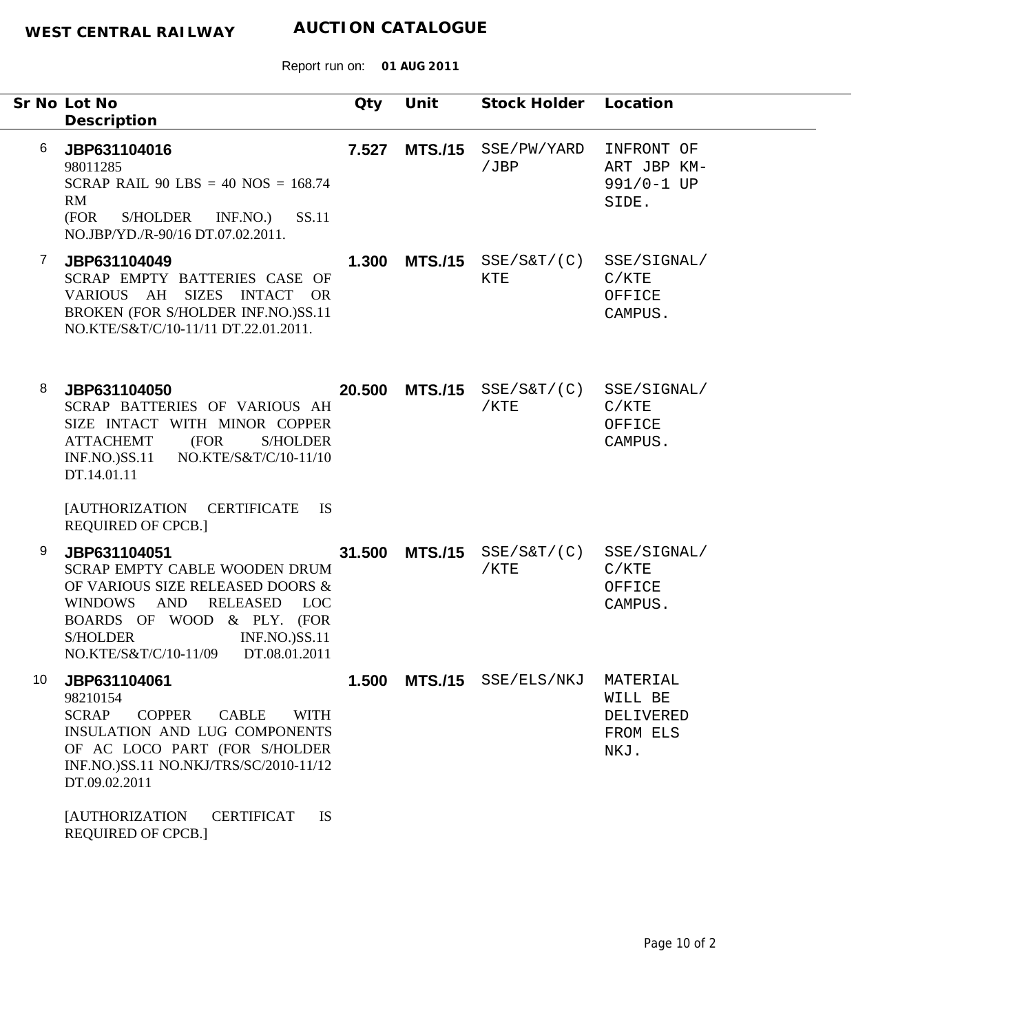|    | Sr No Lot No<br>Description                                                                                                                                                                                                         | Qty    | Unit           | Stock Holder                                              | Location                                             |
|----|-------------------------------------------------------------------------------------------------------------------------------------------------------------------------------------------------------------------------------------|--------|----------------|-----------------------------------------------------------|------------------------------------------------------|
| 6  | JBP631104016<br>98011285<br>SCRAP RAIL 90 LBS = 40 NOS = $168.74$<br>RM<br>SS.11<br>(FOR<br>S/HOLDER<br>INF.NO.)<br>NO.JBP/YD./R-90/16 DT.07.02.2011.                                                                               | 7.527  | <b>MTS./15</b> | SSE/PW/YARD<br>/JBP                                       | INFRONT OF<br>ART JBP KM-<br>991/0-1 UP<br>SIDE.     |
| 7  | JBP631104049<br>SCRAP EMPTY BATTERIES CASE OF<br>VARIOUS AH<br>SIZES INTACT OR<br>BROKEN (FOR S/HOLDER INF.NO.)SS.11<br>NO.KTE/S&T/C/10-11/11 DT.22.01.2011.                                                                        | 1.300  |                | $MTS./15$ $SSE/S&T/(C)$<br>KTE                            | SSE/SIGNAL/<br>C/KTE<br>OFFICE<br>CAMPUS.            |
| 8  | JBP631104050<br>SCRAP BATTERIES OF VARIOUS AH<br>SIZE INTACT WITH MINOR COPPER<br><b>ATTACHEMT</b><br>(FOR<br><b>S/HOLDER</b><br>NO.KTE/S&T/C/10-11/10<br>$INF.NO.$ ) $SS.11$<br>DT.14.01.11                                        | 20.500 | <b>MTS./15</b> | $\texttt{SSE}/\texttt{S\&T}/$ ( $\texttt{C}$ )<br>$/$ KTE | SSE/SIGNAL/<br>C/KTE<br>OFFICE<br>CAMPUS.            |
|    | [AUTHORIZATION CERTIFICATE]<br><b>IS</b><br><b>REQUIRED OF CPCB.]</b>                                                                                                                                                               |        |                |                                                           |                                                      |
| 9  | JBP631104051<br><b>SCRAP EMPTY CABLE WOODEN DRUM</b><br>OF VARIOUS SIZE RELEASED DOORS &<br>WINDOWS AND<br>RELEASED LOC<br>BOARDS OF WOOD & PLY. (FOR<br>S/HOLDER<br><b>INF.NO.)SS.11</b><br>DT.08.01.2011<br>NO.KTE/S&T/C/10-11/09 | 31.500 | <b>MTS./15</b> | $SSE/SET/$ (C)<br>$/$ KTE                                 | SSE/SIGNAL/<br>C/KTE<br>OFFICE<br>CAMPUS.            |
| 10 | JBP631104061<br>98210154<br><b>SCRAP</b><br><b>COPPER</b><br><b>CABLE</b><br><b>WITH</b><br>INSULATION AND LUG COMPONENTS<br>OF AC LOCO PART (FOR S/HOLDER<br>INF.NO.)SS.11 NO.NKJ/TRS/SC/2010-11/12<br>DT.09.02.2011               | 1.500  | <b>MTS./15</b> | SSE/ELS/NKJ                                               | MATERIAL<br>WILL BE<br>DELIVERED<br>FROM ELS<br>NKJ. |
|    | <b>[AUTHORIZATION</b><br><b>CERTIFICAT</b><br><b>IS</b><br><b>REQUIRED OF CPCB.]</b>                                                                                                                                                |        |                |                                                           |                                                      |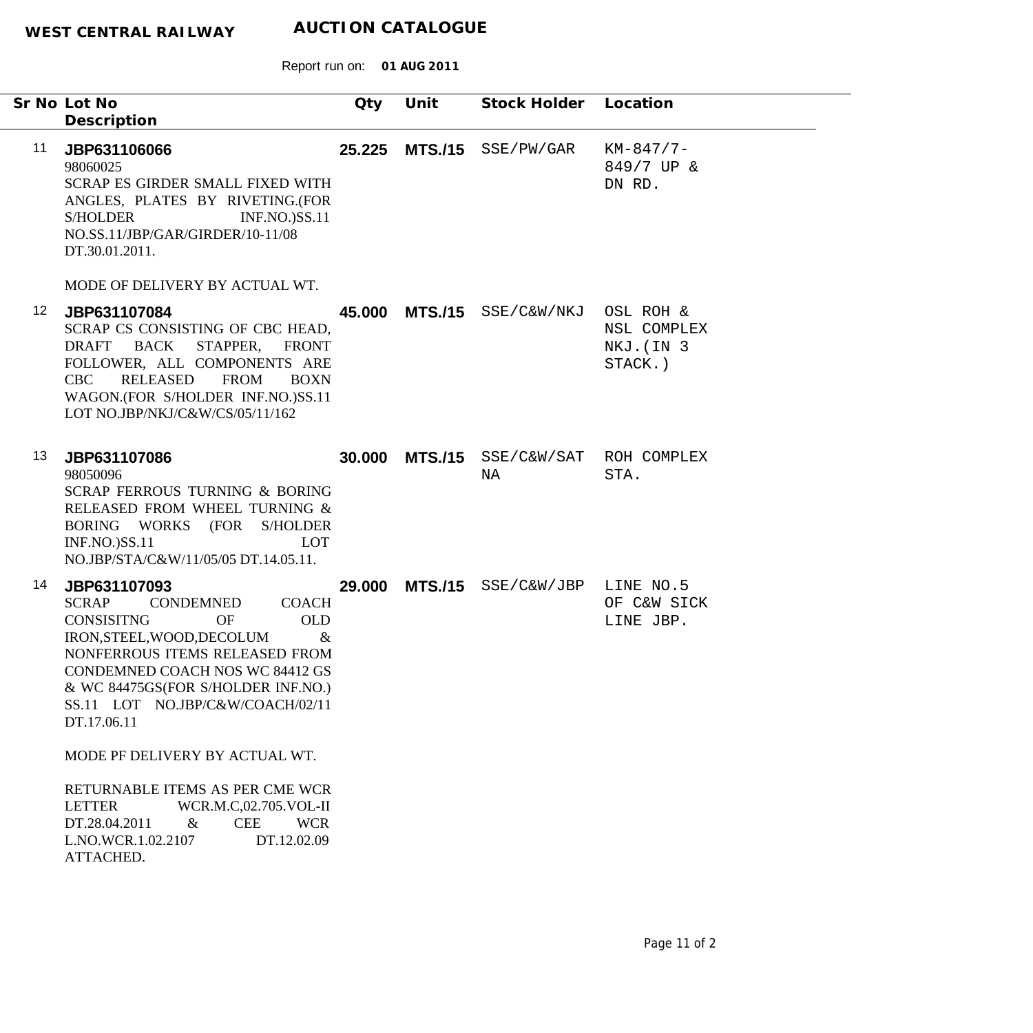|                 | Sr No Lot No<br>Description                                                                                                                                                                                                                                                                            | Qty    | Unit           | Stock Holder Location                |                                                   |
|-----------------|--------------------------------------------------------------------------------------------------------------------------------------------------------------------------------------------------------------------------------------------------------------------------------------------------------|--------|----------------|--------------------------------------|---------------------------------------------------|
| 11              | JBP631106066<br>98060025<br><b>SCRAP ES GIRDER SMALL FIXED WITH</b><br>ANGLES, PLATES BY RIVETING.(FOR<br><b>S/HOLDER</b><br><b>INF.NO.)SS.11</b><br>NO.SS.11/JBP/GAR/GIRDER/10-11/08<br>DT.30.01.2011.                                                                                                | 25.225 |                | MTS./15 SSE/PW/GAR                   | $KM-847/7-$<br>849/7 UP &<br>DN RD.               |
|                 | MODE OF DELIVERY BY ACTUAL WT.                                                                                                                                                                                                                                                                         |        |                |                                      |                                                   |
| 12 <sup>°</sup> | JBP631107084<br>SCRAP CS CONSISTING OF CBC HEAD,<br>DRAFT BACK<br>STAPPER,<br><b>FRONT</b><br>FOLLOWER, ALL COMPONENTS ARE<br>RELEASED<br><b>FROM</b><br>CBC<br><b>BOXN</b><br>WAGON.(FOR S/HOLDER INF.NO.)SS.11<br>LOT NO.JBP/NKJ/C&W/CS/05/11/162                                                    |        |                | 45.000 MTS./15 SSE/C&W/NKJ           | OSL ROH &<br>NSL COMPLEX<br>NKJ. (IN 3<br>STACK.) |
| 13              | JBP631107086<br>98050096<br><b>SCRAP FERROUS TURNING &amp; BORING</b><br>RELEASED FROM WHEEL TURNING &<br>BORING WORKS (FOR S/HOLDER<br><b>INF.NO.)SS.11</b><br><b>LOT</b><br>NO.JBP/STA/C&W/11/05/05 DT.14.05.11.                                                                                     |        | 30.000 MTS./15 | SSE/C&W/SAT ROH COMPLEX<br>NA        | STA.                                              |
| 14              | JBP631107093<br><b>COACH</b><br><b>SCRAP</b><br>CONDEMNED<br><b>CONSISITNG</b><br><b>OLD</b><br>OF<br>IRON, STEEL, WOOD, DECOLUM<br>$\&$<br>NONFERROUS ITEMS RELEASED FROM<br>CONDEMNED COACH NOS WC 84412 GS<br>& WC 84475GS(FOR S/HOLDER INF.NO.)<br>SS.11 LOT NO.JBP/C&W/COACH/02/11<br>DT.17.06.11 |        |                | 29.000 MTS./15 SSE/C&W/JBP LINE NO.5 | OF C&W SICK<br>LINE JBP.                          |
|                 | MODE PF DELIVERY BY ACTUAL WT.                                                                                                                                                                                                                                                                         |        |                |                                      |                                                   |
|                 | RETURNABLE ITEMS AS PER CME WCR<br><b>LETTER</b><br>WCR.M.C,02.705.VOL-II<br>$\&$<br><b>CEE</b><br><b>WCR</b><br>DT.28.04.2011<br>DT.12.02.09<br>L.NO.WCR.1.02.2107<br>ATTACHED.                                                                                                                       |        |                |                                      |                                                   |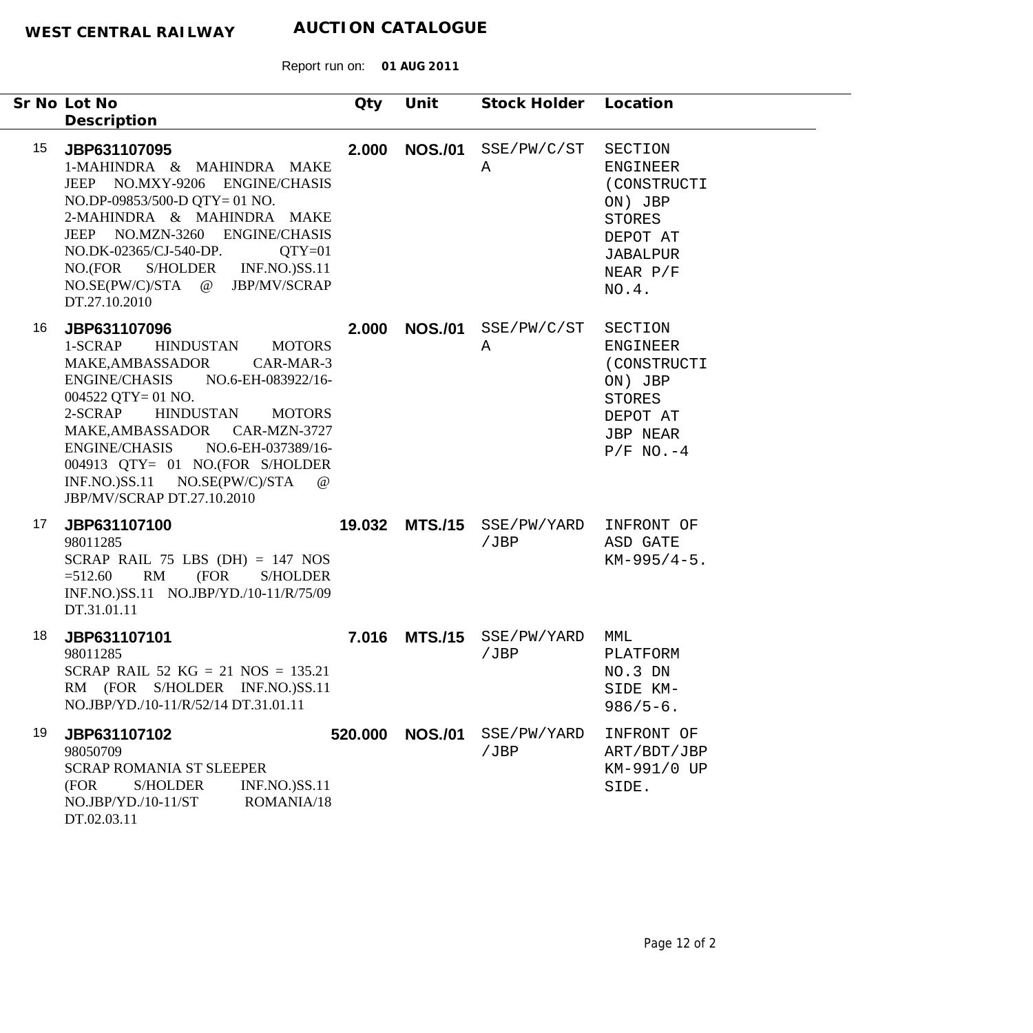|    | Sr No Lot No<br>Description                                                                                                                                                                                                                                                                                                                                                          | Qty     | Unit           | Stock Holder Location                         |                                                                                                                           |
|----|--------------------------------------------------------------------------------------------------------------------------------------------------------------------------------------------------------------------------------------------------------------------------------------------------------------------------------------------------------------------------------------|---------|----------------|-----------------------------------------------|---------------------------------------------------------------------------------------------------------------------------|
| 15 | JBP631107095<br>1-MAHINDRA & MAHINDRA MAKE<br>JEEP NO.MXY-9206 ENGINE/CHASIS<br>NO.DP-09853/500-D QTY= 01 NO.<br>2-MAHINDRA & MAHINDRA MAKE<br>JEEP NO.MZN-3260 ENGINE/CHASIS<br>NO.DK-02365/CJ-540-DP.<br>$QTY=01$<br>NO.(FOR S/HOLDER INF.NO.)SS.11<br>NO.SE(PW/C)/STA @ JBP/MV/SCRAP<br>DT.27.10.2010                                                                             |         |                | 2.000 NOS./01 SSE/PW/C/ST<br>Α                | SECTION<br><b>ENGINEER</b><br>(CONSTRUCTI<br>ON) JBP<br><b>STORES</b><br>DEPOT AT<br><b>JABALPUR</b><br>NEAR P/F<br>NO.4. |
| 16 | JBP631107096<br>1-SCRAP<br>HINDUSTAN MOTORS<br>MAKE,AMBASSADOR<br>CAR-MAR-3<br><b>ENGINE/CHASIS</b><br>NO.6-EH-083922/16-<br>$004522$ QTY= 01 NO.<br>2-SCRAP<br><b>HINDUSTAN</b><br><b>MOTORS</b><br>MAKE, AMBASSADOR CAR-MZN-3727<br>ENGINE/CHASIS NO.6-EH-037389/16-<br>004913 QTY= 01 NO.(FOR S/HOLDER<br>INF.NO.)SS.11 NO.SE(PW/C)/STA<br>$\omega$<br>JBP/MV/SCRAP DT.27.10.2010 | 2.000   |                | NOS./01 SSE/PW/C/ST<br>Α                      | SECTION<br><b>ENGINEER</b><br>(CONSTRUCTI<br>ON) JBP<br><b>STORES</b><br>DEPOT AT<br><b>JBP NEAR</b><br>$P/F NO.-4$       |
| 17 | JBP631107100<br>98011285<br>SCRAP RAIL 75 LBS (DH) = $147$ NOS<br>RM<br>(FOR<br>S/HOLDER<br>$=512.60$<br>INF.NO.)SS.11 NO.JBP/YD./10-11/R/75/09<br>DT.31.01.11                                                                                                                                                                                                                       |         |                | 19.032 MTS./15 SSE/PW/YARD INFRONT OF<br>/JBP | ASD GATE<br>$KM-995/4-5$ .                                                                                                |
| 18 | JBP631107101<br>98011285<br>SCRAP RAIL 52 KG = 21 NOS = $135.21$<br>RM (FOR S/HOLDER INF.NO.)SS.11<br>NO.JBP/YD./10-11/R/52/14 DT.31.01.11                                                                                                                                                                                                                                           | 7.016   |                | MTS./15 SSE/PW/YARD<br>/JBP                   | MML<br>PLATFORM<br>NO.3 DN<br>SIDE KM-<br>$986/5 - 6.$                                                                    |
| 19 | JBP631107102<br>98050709<br>SCRAP ROMANIA ST SLEEPER<br><b>INF.NO.)SS.11</b><br>(FOR<br><b>S/HOLDER</b><br>$NO.JBP/YD./10-11/ST$<br>ROMANIA/18<br>DT.02.03.11                                                                                                                                                                                                                        | 520.000 | <b>NOS./01</b> | SSE/PW/YARD<br>/JBP                           | INFRONT OF<br>ART/BDT/JBP<br>KM-991/0 UP<br>SIDE.                                                                         |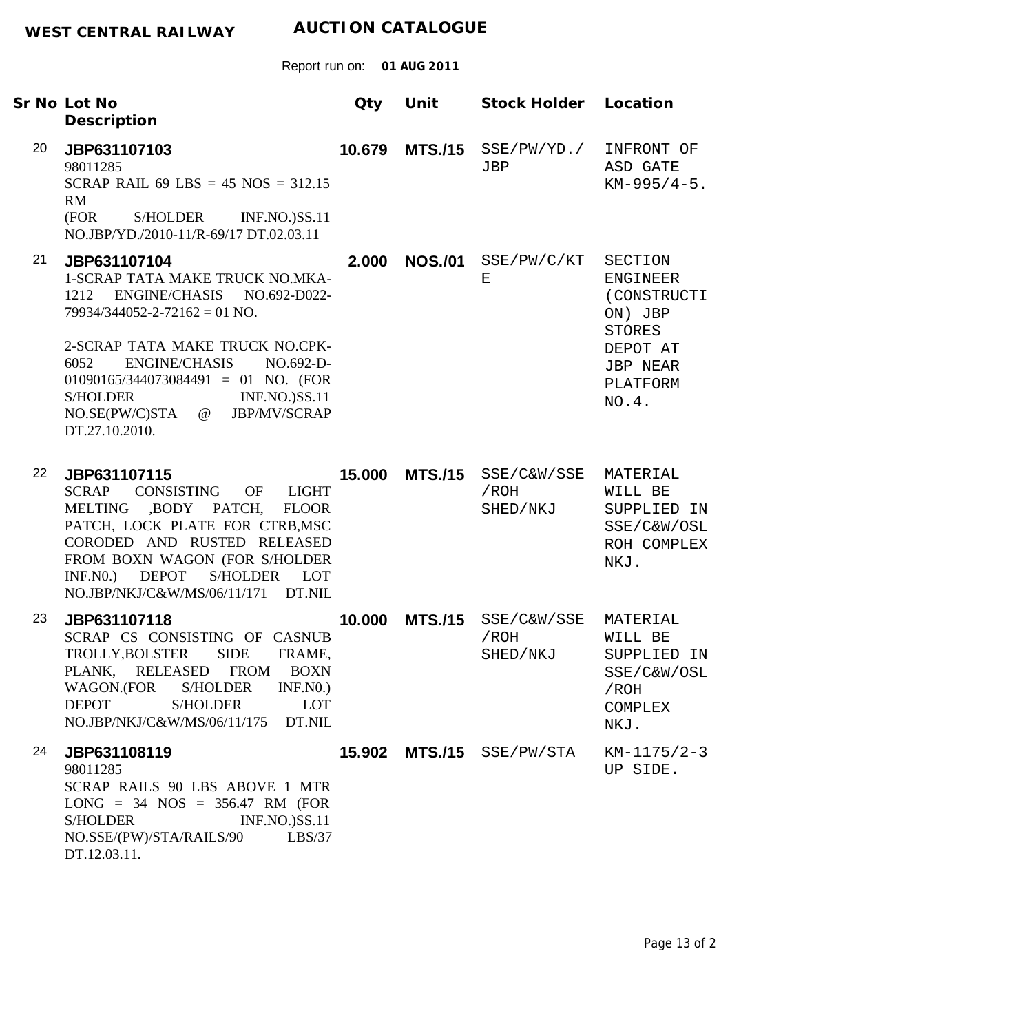|    | Sr No Lot No                                                                                                                                                                                                                                                                                                                              | Qty    | Unit           | Stock Holder Location                            |                                                                                                                           |
|----|-------------------------------------------------------------------------------------------------------------------------------------------------------------------------------------------------------------------------------------------------------------------------------------------------------------------------------------------|--------|----------------|--------------------------------------------------|---------------------------------------------------------------------------------------------------------------------------|
|    | Description                                                                                                                                                                                                                                                                                                                               |        |                |                                                  |                                                                                                                           |
| 20 | JBP631107103<br>98011285<br>SCRAP RAIL 69 LBS = $45$ NOS = $312.15$<br>RM<br>S/HOLDER<br>(FOR<br><b>INF.NO.)SS.11</b><br>NO.JBP/YD./2010-11/R-69/17 DT.02.03.11                                                                                                                                                                           |        |                | 10.679 MTS./15 SSE/PW/YD./<br>JBP                | INFRONT OF<br>ASD GATE<br>$KM-995/4-5$ .                                                                                  |
| 21 | JBP631107104<br>1-SCRAP TATA MAKE TRUCK NO.MKA-<br>1212 ENGINE/CHASIS NO.692-D022-<br>$79934/344052 - 2 - 72162 = 01$ NO.<br>2-SCRAP TATA MAKE TRUCK NO.CPK-<br><b>ENGINE/CHASIS</b><br>6052<br>NO.692-D-<br>$01090165/344073084491 = 01$ NO. (FOR<br>S/HOLDER<br><b>INF.NO.)SS.11</b><br>NO.SE(PW/C)STA @ JBP/MV/SCRAP<br>DT.27.10.2010. | 2.000  |                | NOS./01 SSE/PW/C/KT<br>Е                         | SECTION<br><b>ENGINEER</b><br>(CONSTRUCTI<br>ON) JBP<br><b>STORES</b><br>DEPOT AT<br><b>JBP NEAR</b><br>PLATFORM<br>NO.4. |
| 22 | JBP631107115<br>CONSISTING OF<br><b>SCRAP</b><br>LIGHT<br>MELTING ,BODY PATCH, FLOOR<br>PATCH, LOCK PLATE FOR CTRB, MSC<br>CORODED AND RUSTED RELEASED<br>FROM BOXN WAGON (FOR S/HOLDER<br><b>DEPOT</b><br>INF.N0.<br>S/HOLDER LOT<br>NO.JBP/NKJ/C&W/MS/06/11/171 DT.NIL                                                                  |        | 15.000 MTS./15 | SSE/C&W/SSE<br>/ROH<br>SHED/NKJ                  | MATERIAL<br>WILL BE<br>SUPPLIED IN<br>SSE/C&W/OSL<br>ROH COMPLEX<br>NKJ.                                                  |
| 23 | JBP631107118<br>SCRAP CS CONSISTING OF CASNUB<br><b>SIDE</b><br>TROLLY, BOLSTER<br>FRAME.<br>PLANK, RELEASED FROM BOXN<br>WAGON.(FOR<br>S/HOLDER<br>INF.N0.<br><b>DEPOT</b><br><b>S/HOLDER</b><br><b>LOT</b><br>DT.NIL<br>NO.JBP/NKJ/C&W/MS/06/11/175                                                                                     | 10.000 |                | MTS./15 SSE/C&W/SSE MATERIAL<br>/ROH<br>SHED/NKJ | WILL BE<br>SUPPLIED IN<br>SSE/C&W/OSL<br>/ROH<br><b>COMPLEX</b><br>NKJ.                                                   |
| 24 | JBP631108119<br>98011285<br>SCRAP RAILS 90 LBS ABOVE 1 MTR<br>$LONG = 34 NOS = 356.47 RM (FOR)$<br><b>S/HOLDER</b><br><b>INF.NO.)SS.11</b><br>NO.SSE/(PW)/STA/RAILS/90<br>LBS/37<br>DT.12.03.11.                                                                                                                                          | 15.902 |                | MTS./15 SSE/PW/STA                               | $KM-1175/2-3$<br>UP SIDE.                                                                                                 |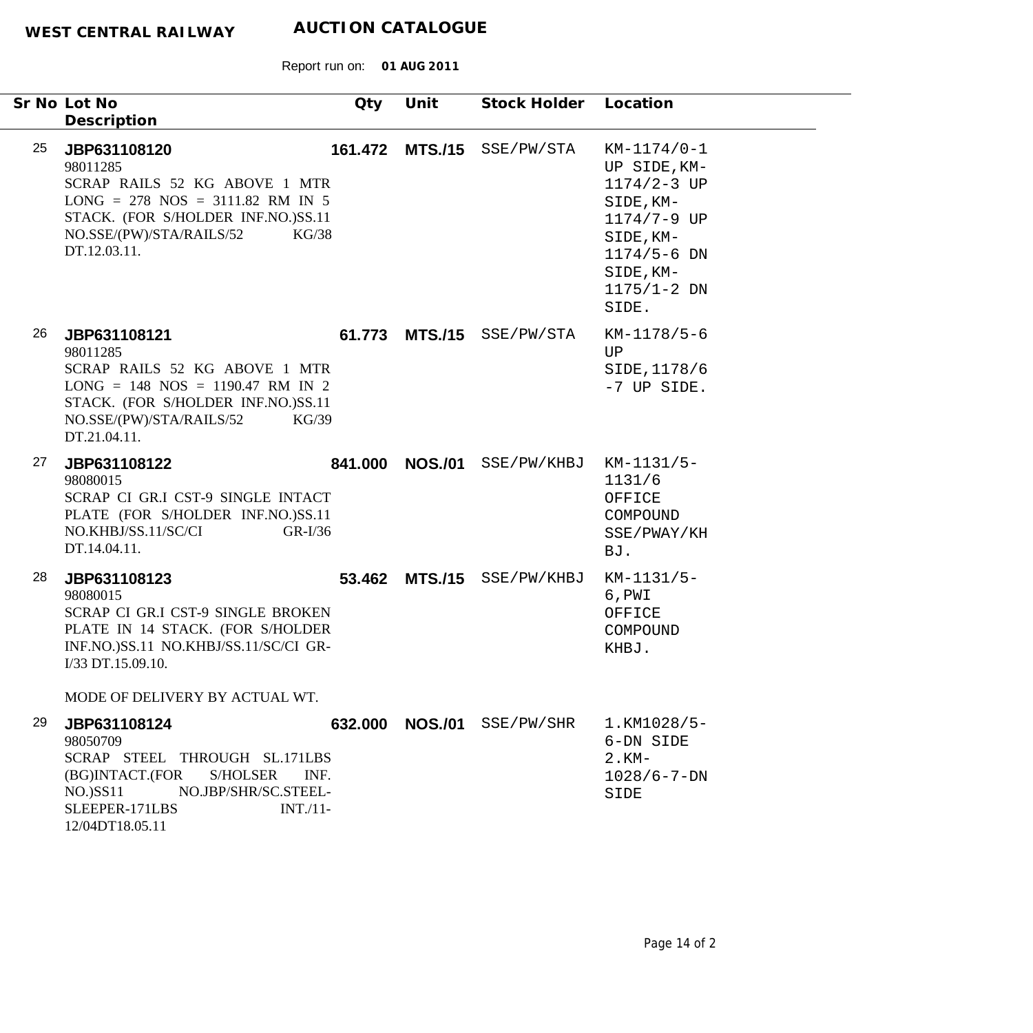| Sr No Lot No<br>Description                                                                                                                | Qty                                                                                                                           | Unit           | Stock Holder Location      |                                                                                                                                                       |  |
|--------------------------------------------------------------------------------------------------------------------------------------------|-------------------------------------------------------------------------------------------------------------------------------|----------------|----------------------------|-------------------------------------------------------------------------------------------------------------------------------------------------------|--|
| 25<br>JBP631108120<br>98011285<br>NO.SSE/(PW)/STA/RAILS/52<br>DT.12.03.11.                                                                 | 161.472<br>SCRAP RAILS 52 KG ABOVE 1 MTR<br>$LONG = 278 NOS = 3111.82 RM IN 5$<br>STACK. (FOR S/HOLDER INF.NO.)SS.11<br>KG/38 | <b>MTS./15</b> | SSE/PW/STA                 | $KM-1174/0-1$<br>UP SIDE, KM-<br>$1174/2 - 3$ UP<br>SIDE, KM-<br>1174/7-9 UP<br>SIDE, KM-<br>$1174/5 - 6$ DN<br>SIDE, KM-<br>$1175/1 - 2 DN$<br>SIDE. |  |
| 26<br>JBP631108121<br>98011285<br>NO.SSE/(PW)/STA/RAILS/52<br>DT.21.04.11.                                                                 | SCRAP RAILS 52 KG ABOVE 1 MTR<br>$LONG = 148 NOS = 1190.47 RM IN 2$<br>STACK. (FOR S/HOLDER INF.NO.)SS.11<br>KG/39            |                | 61.773 MTS./15 SSE/PW/STA  | $KM-1178/5-6$<br>UP<br>SIDE, 1178/6<br>-7 UP SIDE.                                                                                                    |  |
| 27<br>JBP631108122<br>98080015<br>NO.KHBJ/SS.11/SC/CI<br>DT.14.04.11.                                                                      | 841.000<br>SCRAP CI GR.I CST-9 SINGLE INTACT<br>PLATE (FOR S/HOLDER INF.NO.)SS.11<br>$GR-I/36$                                | <b>NOS./01</b> | SSE/PW/KHBJ                | KM-1131/5-<br>1131/6<br>OFFICE<br>COMPOUND<br>SSE/PWAY/KH<br>BJ.                                                                                      |  |
| 28<br>JBP631108123<br>98080015<br>I/33 DT.15.09.10.                                                                                        | SCRAP CI GR.I CST-9 SINGLE BROKEN<br>PLATE IN 14 STACK. (FOR S/HOLDER<br>INF.NO.)SS.11 NO.KHBJ/SS.11/SC/CI GR-                | 53.462 MTS./15 | SSE/PW/KHBJ                | $KM-1131/5-$<br>6, PWI<br>OFFICE<br>COMPOUND<br>KHBJ.                                                                                                 |  |
| MODE OF DELIVERY BY ACTUAL WT.<br>29<br>JBP631108124<br>98050709<br>(BG)INTACT.(FOR<br>$NO.$ ) $SSI1$<br>SLEEPER-171LBS<br>12/04DT18.05.11 | SCRAP STEEL THROUGH SL.171LBS<br>S/HOLSER<br>INF.<br>NO.JBP/SHR/SC.STEEL-<br>$INT. /11-$                                      |                | 632.000 NOS./01 SSE/PW/SHR | 1.KM1028/5-<br>6-DN SIDE<br>$2.$ KM-<br>$1028/6 - 7 - DN$<br>SIDE                                                                                     |  |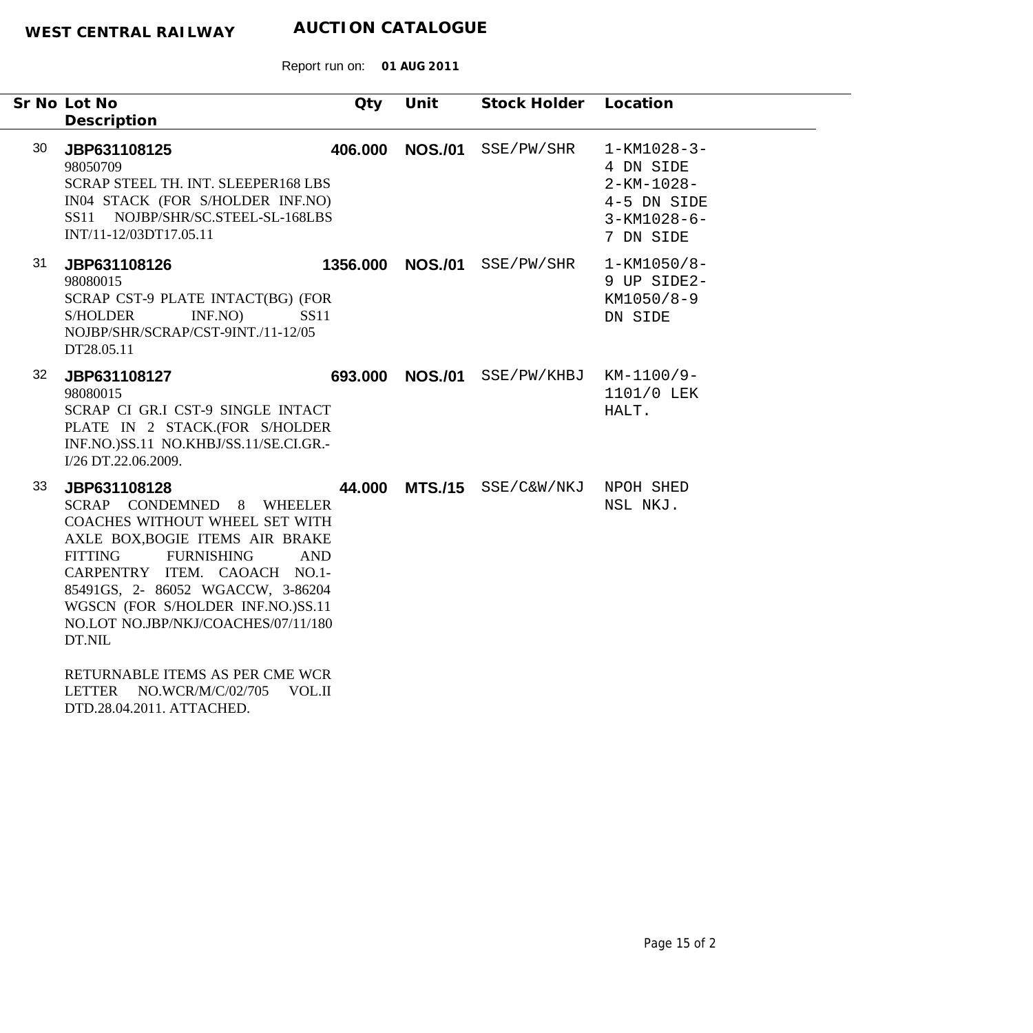|    | Sr No Lot No<br>Description                                                                                                                                                                                                                                                                                                   | Qty     | Unit             | Stock Holder Location |                                                                                                        |
|----|-------------------------------------------------------------------------------------------------------------------------------------------------------------------------------------------------------------------------------------------------------------------------------------------------------------------------------|---------|------------------|-----------------------|--------------------------------------------------------------------------------------------------------|
| 30 | JBP631108125<br>98050709<br>SCRAP STEEL TH. INT. SLEEPER168 LBS<br>IN04 STACK (FOR S/HOLDER INF.NO)<br>SS11 NOJBP/SHR/SC.STEEL-SL-168LBS<br>INT/11-12/03DT17.05.11                                                                                                                                                            |         | 406.000 NOS./01  | SSE/PW/SHR            | $1 - KM1028 - 3 -$<br>4 DN SIDE<br>$2 - KM - 1028 -$<br>4-5 DN SIDE<br>$3 - KM1028 - 6 -$<br>7 DN SIDE |
| 31 | JBP631108126<br>98080015<br>SCRAP CST-9 PLATE INTACT(BG) (FOR<br>INF.NO<br><b>SS11</b><br><b>S/HOLDER</b><br>NOJBP/SHR/SCRAP/CST-9INT./11-12/05<br>DT28.05.11                                                                                                                                                                 |         | 1356.000 NOS./01 | SSE/PW/SHR            | $1 - KM1050/8 -$<br>9 UP SIDE2-<br>KM1050/8-9<br>DN SIDE                                               |
| 32 | JBP631108127<br>98080015<br>SCRAP CI GR.I CST-9 SINGLE INTACT<br>PLATE IN 2 STACK.(FOR S/HOLDER<br>INF.NO.)SS.11 NO.KHBJ/SS.11/SE.CI.GR.-<br>I/26 DT.22.06.2009.                                                                                                                                                              | 693.000 |                  | NOS./01 SSE/PW/KHBJ   | KM-1100/9-<br>1101/0 LEK<br>HALT.                                                                      |
| 33 | JBP631108128<br>SCRAP CONDEMNED 8 WHEELER<br>COACHES WITHOUT WHEEL SET WITH<br>AXLE BOX, BOGIE ITEMS AIR BRAKE<br><b>FURNISHING</b><br><b>FITTING</b><br><b>AND</b><br>CARPENTRY ITEM. CAOACH NO.1-<br>85491GS, 2-86052 WGACCW, 3-86204<br>WGSCN (FOR S/HOLDER INF.NO.)SS.11<br>NO.LOT NO.JBP/NKJ/COACHES/07/11/180<br>DT.NIL | 44.000  |                  | MTS./15 SSE/C&W/NKJ   | NPOH SHED<br>NSL NKJ.                                                                                  |
|    | RETURNABLE ITEMS AS PER CME WCR<br><b>LETTER</b><br>NO.WCR/M/C/02/705<br><b>VOL.II</b><br>DTD.28.04.2011. ATTACHED.                                                                                                                                                                                                           |         |                  |                       |                                                                                                        |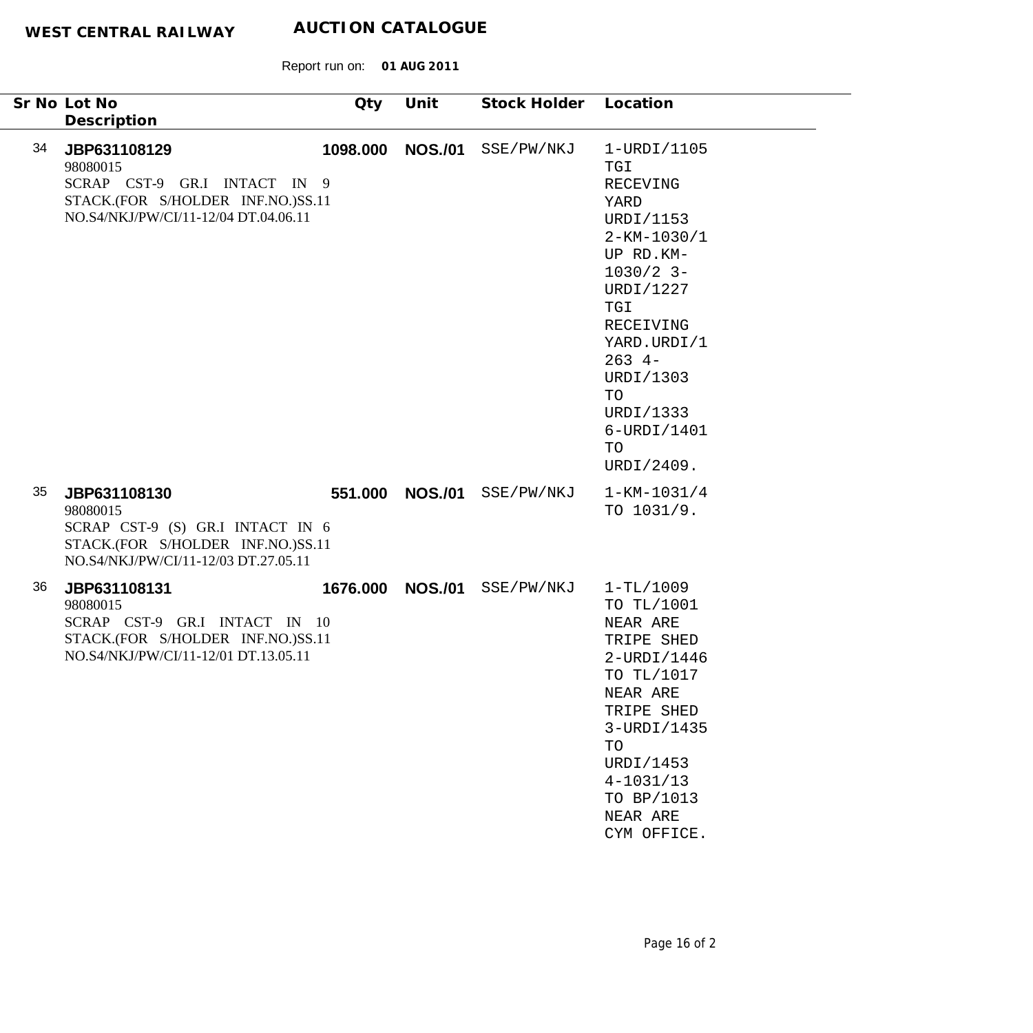Report run on: **01 AUG 2011**

|    | Sr No Lot No<br>Description                                                                                                               | Qty      | Unit            | Stock Holder Location |                                                                                                                                                                                                                                      |
|----|-------------------------------------------------------------------------------------------------------------------------------------------|----------|-----------------|-----------------------|--------------------------------------------------------------------------------------------------------------------------------------------------------------------------------------------------------------------------------------|
| 34 | JBP631108129<br>98080015<br>SCRAP CST-9 GR.I INTACT IN 9<br>STACK.(FOR S/HOLDER INF.NO.)SS.11<br>NO.S4/NKJ/PW/CI/11-12/04 DT.04.06.11     | 1098.000 | <b>NOS./01</b>  | SSE/PW/NKJ            | 1-URDI/1105<br>TGI<br>RECEVING<br>YARD<br>URDI/1153<br>$2 - KM - 1030/1$<br>UP RD.KM-<br>$1030/2$ 3-<br>URDI/1227<br>TGI<br>RECEIVING<br>YARD.URDI/1<br>$263 + -$<br>URDI/1303<br>TO<br>URDI/1333<br>6-URDI/1401<br>TO<br>URDI/2409. |
| 35 | JBP631108130<br>98080015<br>SCRAP CST-9 (S) GR.I INTACT IN 6<br>STACK.(FOR S/HOLDER INF.NO.)SS.11<br>NO.S4/NKJ/PW/CI/11-12/03 DT.27.05.11 |          | 551.000 NOS./01 | SSE/PW/NKJ            | $1 - KM - 1031/4$<br>TO 1031/9.                                                                                                                                                                                                      |
| 36 | JBP631108131<br>98080015<br>SCRAP CST-9 GR.I INTACT IN 10<br>STACK.(FOR S/HOLDER INF.NO.)SS.11<br>NO.S4/NKJ/PW/CI/11-12/01 DT.13.05.11    | 1676.000 | <b>NOS./01</b>  | SSE/PW/NKJ            | $1-TL/1009$<br>TO TL/1001<br>NEAR ARE<br>TRIPE SHED<br>2-URDI/1446<br>TO TL/1017<br>NEAR ARE<br>TRIPE SHED<br>3-URDI/1435<br>TO<br>URDI/1453<br>$4 - 1031/13$<br>TO BP/1013<br>NEAR ARE<br>CYM OFFICE.                               |

٠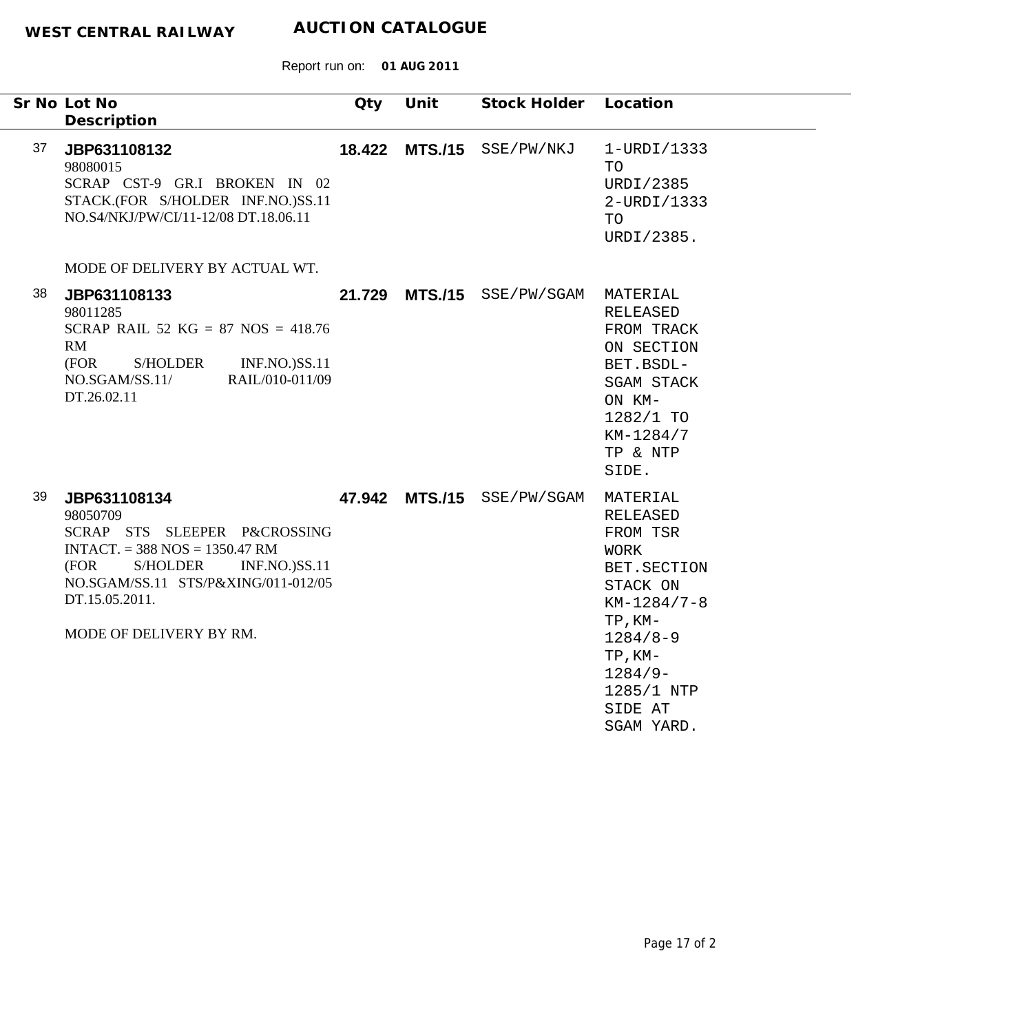|    | Sr No Lot No<br>Description                                                                                                                                                                                                  | Qty | Unit | Stock Holder Location      |                                                                                                                                                                                     |
|----|------------------------------------------------------------------------------------------------------------------------------------------------------------------------------------------------------------------------------|-----|------|----------------------------|-------------------------------------------------------------------------------------------------------------------------------------------------------------------------------------|
| 37 | JBP631108132<br>98080015<br>SCRAP CST-9 GR.I BROKEN IN 02<br>STACK.(FOR S/HOLDER INF.NO.)SS.11<br>NO.S4/NKJ/PW/CI/11-12/08 DT.18.06.11<br>MODE OF DELIVERY BY ACTUAL WT.                                                     |     |      | 18.422 MTS./15 SSE/PW/NKJ  | $1-URDI/1333$<br>TO<br>URDI/2385<br>2-URDI/1333<br>TO<br>URDI/2385.                                                                                                                 |
| 38 | JBP631108133<br>98011285<br>SCRAP RAIL 52 KG = 87 NOS = $418.76$<br>RM<br>(FOR<br><b>S/HOLDER</b><br><b>INF.NO.)SS.11</b><br>NO.SGAM/SS.11/<br>RAIL/010-011/09<br>DT.26.02.11                                                |     |      | 21.729 MTS./15 SSE/PW/SGAM | MATERIAL<br>RELEASED<br>FROM TRACK<br>ON SECTION<br>BET.BSDL-<br>SGAM STACK<br>ON KM-<br>1282/1 TO<br>KM-1284/7<br>TP & NTP<br>SIDE.                                                |
| 39 | JBP631108134<br>98050709<br>SCRAP STS SLEEPER P&CROSSING<br>$INTACT. = 388 NOS = 1350.47 RM$<br>S/HOLDER<br><b>INF.NO.)SS.11</b><br>(FOR<br>NO.SGAM/SS.11 STS/P&XING/011-012/05<br>DT.15.05.2011.<br>MODE OF DELIVERY BY RM. |     |      | 47.942 MTS./15 SSE/PW/SGAM | MATERIAL<br>RELEASED<br>FROM TSR<br>WORK<br>BET. SECTION<br>STACK ON<br>$KM-1284/7-8$<br>$TP, KM-$<br>$1284/8 - 9$<br>$TP, KM-$<br>$1284/9-$<br>1285/1 NTP<br>SIDE AT<br>SGAM YARD. |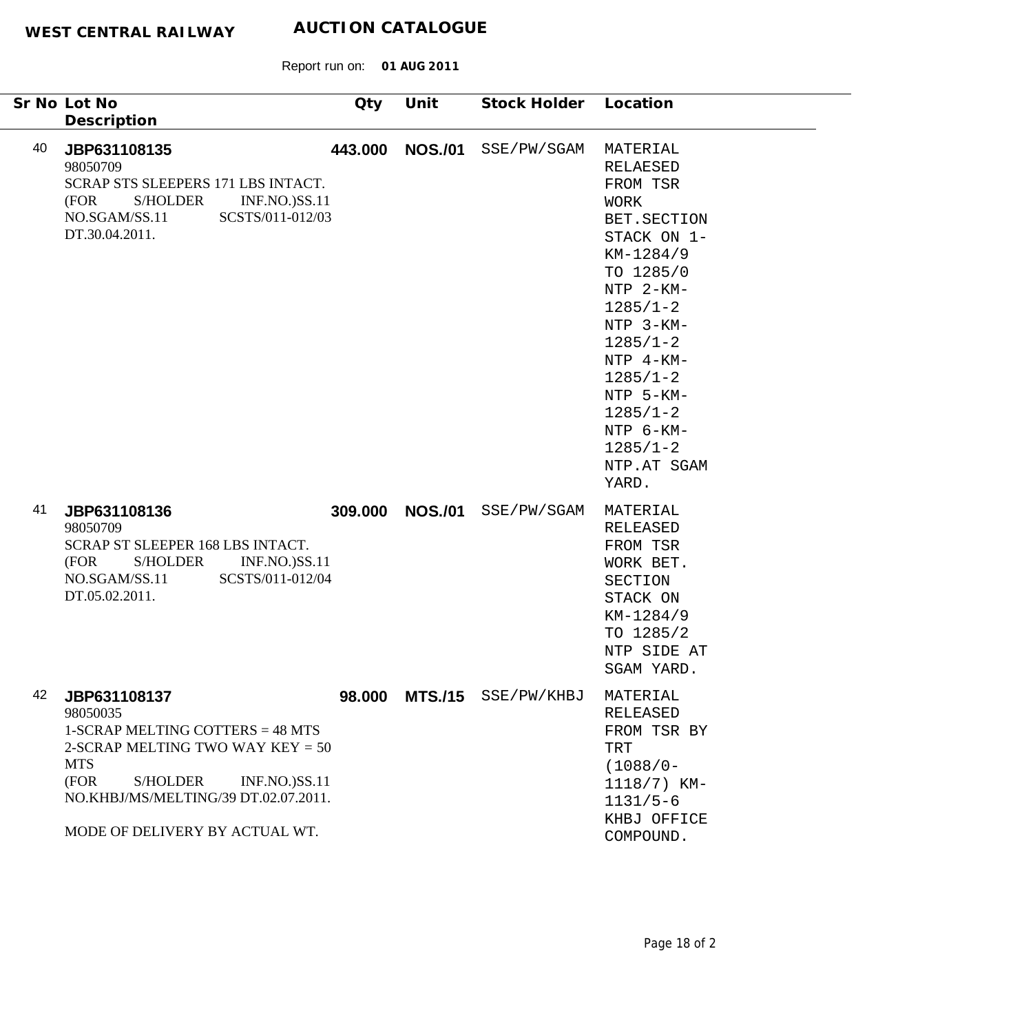| Sr No Lot No<br>Description                                               |                                                                                                                                                                                      | Qty     | Unit           | Stock Holder               | Location                                                                                                                                                                                                                                                                          |
|---------------------------------------------------------------------------|--------------------------------------------------------------------------------------------------------------------------------------------------------------------------------------|---------|----------------|----------------------------|-----------------------------------------------------------------------------------------------------------------------------------------------------------------------------------------------------------------------------------------------------------------------------------|
| 40<br>JBP631108135<br>98050709<br>(FOR<br>NO.SGAM/SS.11<br>DT.30.04.2011. | SCRAP STS SLEEPERS 171 LBS INTACT.<br><b>S/HOLDER</b><br><b>INF.NO.)SS.11</b><br>SCSTS/011-012/03                                                                                    | 443.000 | <b>NOS./01</b> | SSE/PW/SGAM                | MATERIAL<br>RELAESED<br>FROM TSR<br><b>WORK</b><br>BET. SECTION<br>STACK ON 1-<br>KM-1284/9<br>TO 1285/0<br>NTP 2-KM-<br>$1285/1 - 2$<br>NTP 3-KM-<br>$1285/1 - 2$<br>NTP 4-KM-<br>$1285/1 - 2$<br>NTP 5-KM-<br>$1285/1 - 2$<br>NTP 6-KM-<br>$1285/1 - 2$<br>NTP.AT SGAM<br>YARD. |
| 41<br>JBP631108136<br>98050709<br>(FOR<br>NO.SGAM/SS.11<br>DT.05.02.2011. | SCRAP ST SLEEPER 168 LBS INTACT.<br><b>INF.NO.)SS.11</b><br><b>S/HOLDER</b><br>SCSTS/011-012/04                                                                                      | 309.000 | <b>NOS./01</b> | SSE/PW/SGAM                | MATERIAL<br>RELEASED<br>FROM TSR<br>WORK BET.<br>SECTION<br>STACK ON<br>KM-1284/9<br>TO 1285/2<br>NTP SIDE AT<br>SGAM YARD                                                                                                                                                        |
| 42<br>JBP631108137<br>98050035<br><b>MTS</b><br>(FOR                      | 1-SCRAP MELTING COTTERS = 48 MTS<br>2-SCRAP MELTING TWO WAY $KEY = 50$<br>S/HOLDER<br><b>INF.NO.)SS.11</b><br>NO.KHBJ/MS/MELTING/39 DT.02.07.2011.<br>MODE OF DELIVERY BY ACTUAL WT. |         |                | 98.000 MTS./15 SSE/PW/KHBJ | MATERIAL<br>RELEASED<br>FROM TSR BY<br>TRT<br>$(1088/0 -$<br>1118/7) KM-<br>$1131/5-6$<br>KHBJ OFFICE<br>COMPOUND.                                                                                                                                                                |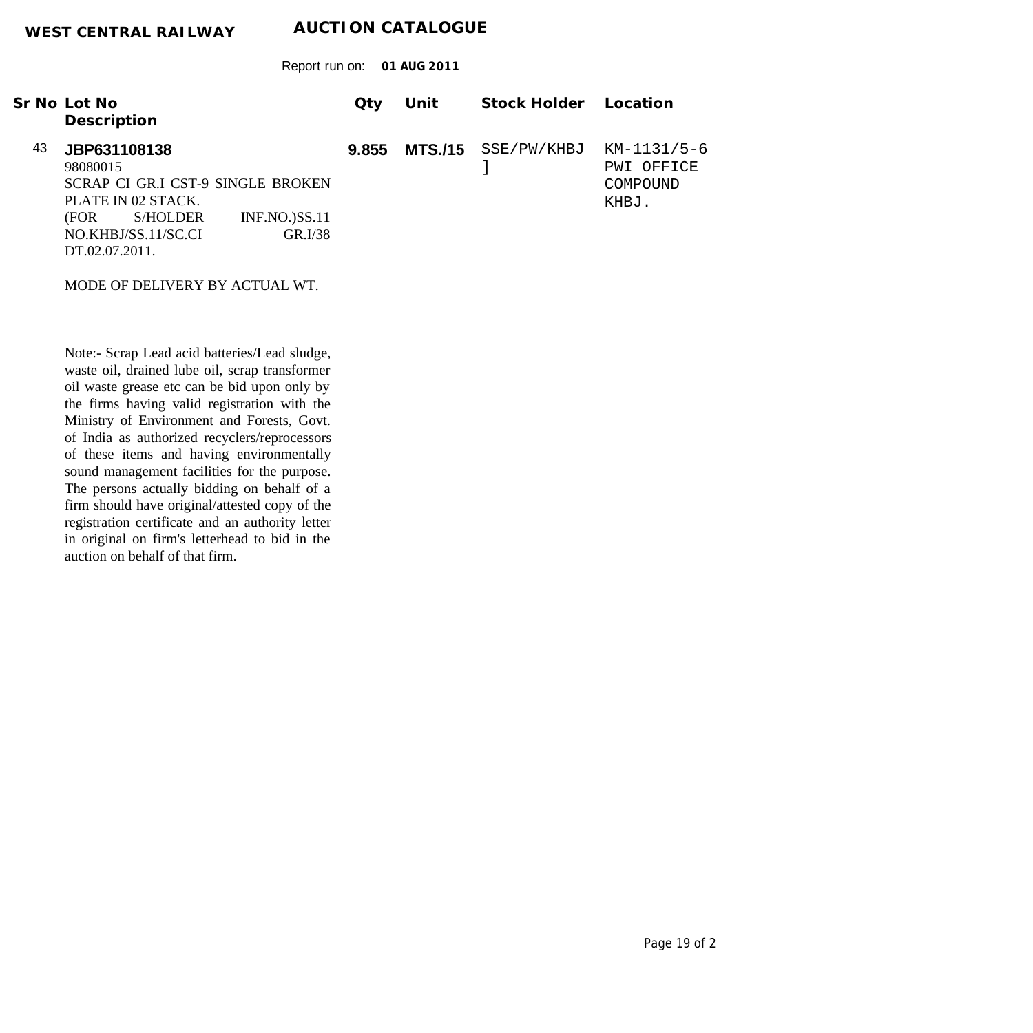Report run on: **01 AUG 2011**

|    | Sr No Lot No<br>Description                                                                                                                             |                              | Qty   | Unit | Stock Holder        | Location                                       |
|----|---------------------------------------------------------------------------------------------------------------------------------------------------------|------------------------------|-------|------|---------------------|------------------------------------------------|
| 43 | JBP631108138<br>98080015<br>SCRAP CI GR.I CST-9 SINGLE BROKEN<br>PLATE IN 02 STACK.<br><b>S/HOLDER</b><br>(FOR<br>NO.KHBJ/SS.11/SC.CI<br>DT.02.07.2011. | $INF.NO.$ $SS.11$<br>GR.I/38 | 9.855 |      | MTS./15 SSE/PW/KHBJ | KM-1131/5-6<br>PWI OFFICE<br>COMPOUND<br>KHBJ. |
|    | MODE OF DELIVERY BY ACTUAL WT.                                                                                                                          |                              |       |      |                     |                                                |

Note:- Scrap Lead acid batteries/Lead sludge, waste oil, drained lube oil, scrap transformer oil waste grease etc can be bid upon only by the firms having valid registration with the Ministry of Environment and Forests, Govt. of India as authorized recyclers/reprocessors of these items and having environmentally sound management facilities for the purpose. The persons actually bidding on behalf of a firm should have original/attested copy of the registration certificate and an authority letter in original on firm's letterhead to bid in the auction on behalf of that firm.